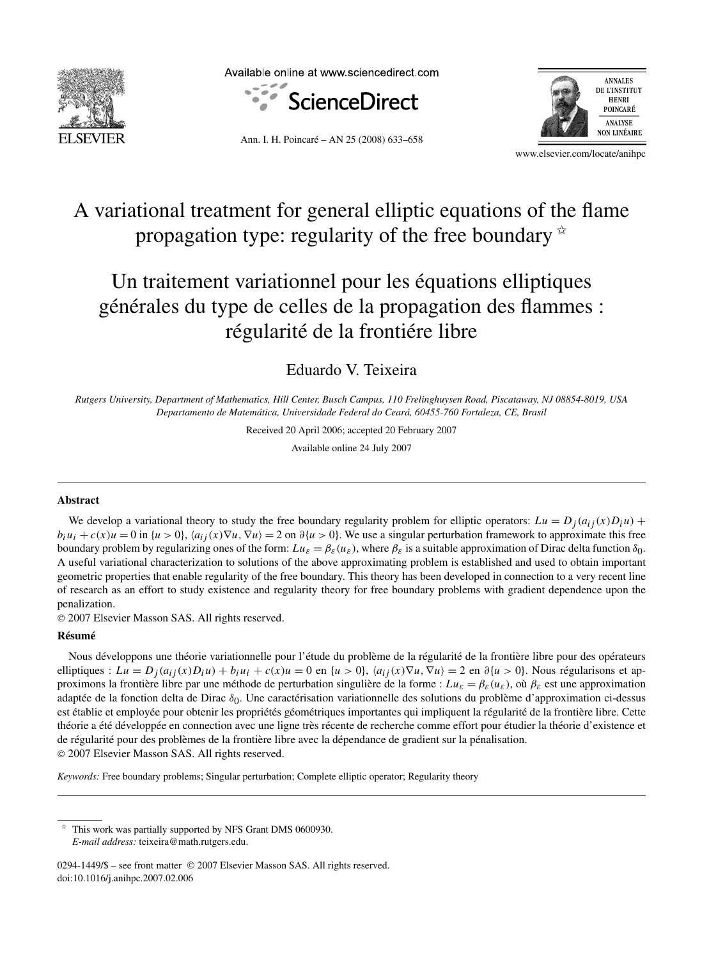

Available online at www.sciencedirect.com





Ann. I. H. Poincaré – AN 25 (2008) 633–658

www.elsevier.com/locate/anihpc

# A variational treatment for general elliptic equations of the flame propagation type: regularity of the free boundary  $\dot{\mathbf{x}}$

# Un traitement variationnel pour les équations elliptiques générales du type de celles de la propagation des flammes : régularité de la frontiére libre

Eduardo V. Teixeira

*Rutgers University, Department of Mathematics, Hill Center, Busch Campus, 110 Frelinghuysen Road, Piscataway, NJ 08854-8019, USA Departamento de Matemática, Universidade Federal do Ceará, 60455-760 Fortaleza, CE, Brasil*

Received 20 April 2006; accepted 20 February 2007

Available online 24 July 2007

### **Abstract**

We develop a variational theory to study the free boundary regularity problem for elliptic operators:  $Lu = D_i(a_{ij}(x)D_iu)$  +  $b_i u_i + c(x)u = 0$  in  $\{u > 0\}$ ,  $\langle a_{ij}(x)\nabla u, \nabla u \rangle = 2$  on  $\partial \{u > 0\}$ . We use a singular perturbation framework to approximate this free boundary problem by regularizing ones of the form:  $Lu_{\varepsilon} = \beta_{\varepsilon}(u_{\varepsilon})$ , where  $\beta_{\varepsilon}$  is a suitable approximation of Dirac delta function  $\delta_0$ . A useful variational characterization to solutions of the above approximating problem is established and used to obtain important geometric properties that enable regularity of the free boundary. This theory has been developed in connection to a very recent line of research as an effort to study existence and regularity theory for free boundary problems with gradient dependence upon the penalization.

© 2007 Elsevier Masson SAS. All rights reserved.

## **Résumé**

Nous développons une théorie variationnelle pour l'étude du problème de la régularité de la frontière libre pour des opérateurs elliptiques :  $Lu = D_j(a_{ij}(x)D_iu) + b_iu_i + c(x)u = 0$  en { $u > 0$ },  $\langle a_{ij}(x)\nabla u, \nabla u \rangle = 2$  en  $\partial \{u > 0\}$ . Nous régularisons et approximons la frontière libre par une méthode de perturbation singulière de la forme :  $L u_{\varepsilon} = \beta_{\varepsilon}(u_{\varepsilon})$ , où  $\beta_{\varepsilon}$  est une approximation adaptée de la fonction delta de Dirac *δ*0. Une caractérisation variationnelle des solutions du problème d'approximation ci-dessus est établie et employée pour obtenir les propriétés géométriques importantes qui impliquent la régularité de la frontière libre. Cette théorie a été développée en connection avec une ligne très récente de recherche comme effort pour étudier la théorie d'existence et de régularité pour des problèmes de la frontière libre avec la dépendance de gradient sur la pénalisation. © 2007 Elsevier Masson SAS. All rights reserved.

*Keywords:* Free boundary problems; Singular perturbation; Complete elliptic operator; Regularity theory

This work was partially supported by NFS Grant DMS 0600930. *E-mail address:* teixeira@math.rutgers.edu.

0294-1449/\$ – see front matter © 2007 Elsevier Masson SAS. All rights reserved. doi:10.1016/j.anihpc.2007.02.006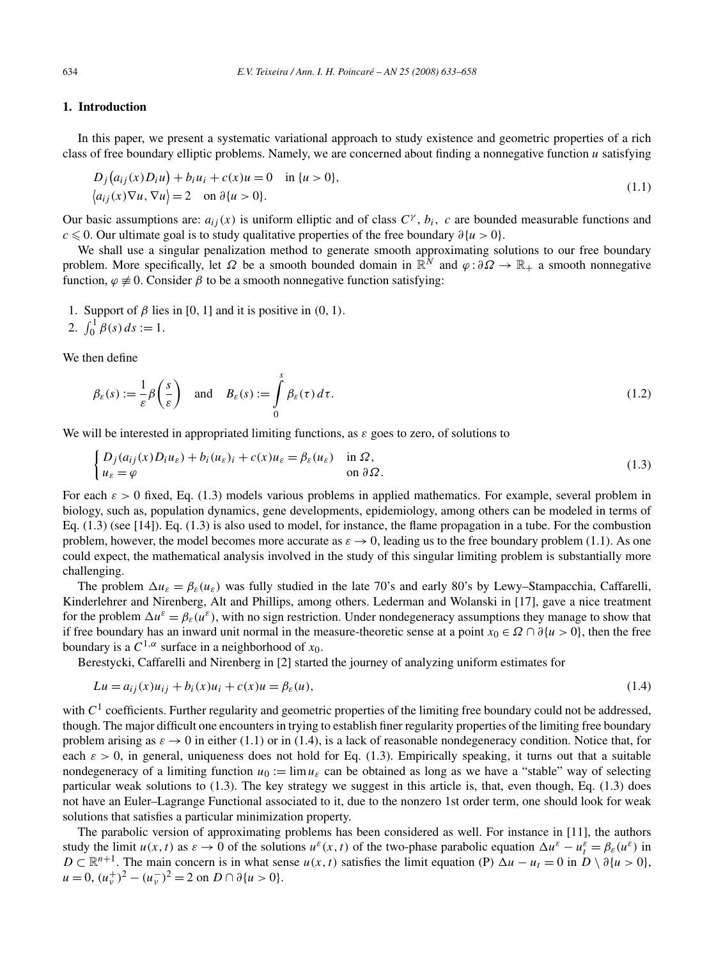## **1. Introduction**

In this paper, we present a systematic variational approach to study existence and geometric properties of a rich class of free boundary elliptic problems. Namely, we are concerned about finding a nonnegative function *u* satisfying

$$
D_j(a_{ij}(x)D_i u) + b_i u_i + c(x)u = 0 \quad \text{in } \{u > 0\},
$$
  
\n
$$
\langle a_{ij}(x)\nabla u, \nabla u \rangle = 2 \quad \text{on } \partial \{u > 0\}.
$$
\n(1.1)

Our basic assumptions are:  $a_{ij}(x)$  is uniform elliptic and of class  $C^{\gamma}$ ,  $b_i$ , c are bounded measurable functions and *c* - 0. Our ultimate goal is to study qualitative properties of the free boundary *∂*{*u >* 0}.

We shall use a singular penalization method to generate smooth approximating solutions to our free boundary problem. More specifically, let  $\Omega$  be a smooth bounded domain in  $\mathbb{R}^N$  and  $\varphi : \partial \Omega \to \mathbb{R}_+$  a smooth nonnegative function,  $\varphi \neq 0$ . Consider  $\beta$  to be a smooth nonnegative function satisfying:

- 1. Support of  $\beta$  lies in [0, 1] and it is positive in (0, 1).
- 2.  $\int_0^1 \beta(s) ds := 1.$

We then define

$$
\beta_{\varepsilon}(s) := \frac{1}{\varepsilon} \beta\left(\frac{s}{\varepsilon}\right) \quad \text{and} \quad B_{\varepsilon}(s) := \int_{0}^{s} \beta_{\varepsilon}(\tau) d\tau. \tag{1.2}
$$

We will be interested in appropriated limiting functions, as *ε* goes to zero, of solutions to

$$
\begin{cases} D_j(a_{ij}(x)D_i u_{\varepsilon}) + b_i(u_{\varepsilon})_i + c(x)u_{\varepsilon} = \beta_{\varepsilon}(u_{\varepsilon}) & \text{in } \Omega, \\ u_{\varepsilon} = \varphi & \text{on } \partial \Omega. \end{cases}
$$
(1.3)

For each  $\varepsilon > 0$  fixed, Eq. (1.3) models various problems in applied mathematics. For example, several problem in biology, such as, population dynamics, gene developments, epidemiology, among others can be modeled in terms of Eq. (1.3) (see [14]). Eq. (1.3) is also used to model, for instance, the flame propagation in a tube. For the combustion problem, however, the model becomes more accurate as  $\varepsilon \to 0$ , leading us to the free boundary problem (1.1). As one could expect, the mathematical analysis involved in the study of this singular limiting problem is substantially more challenging.

The problem  $\Delta u_{\varepsilon} = \beta_{\varepsilon}(u_{\varepsilon})$  was fully studied in the late 70's and early 80's by Lewy–Stampacchia, Caffarelli, Kinderlehrer and Nirenberg, Alt and Phillips, among others. Lederman and Wolanski in [17], gave a nice treatment for the problem  $\Delta u^{\varepsilon} = \beta_{\varepsilon}(u^{\varepsilon})$ , with no sign restriction. Under nondegeneracy assumptions they manage to show that if free boundary has an inward unit normal in the measure-theoretic sense at a point  $x_0 \in \Omega \cap \partial \{u > 0\}$ , then the free boundary is a  $C^{1,\alpha}$  surface in a neighborhood of  $x_0$ .

Berestycki, Caffarelli and Nirenberg in [2] started the journey of analyzing uniform estimates for

$$
Lu = a_{ij}(x)u_{ij} + b_i(x)u_i + c(x)u = \beta_{\varepsilon}(u),
$$
\n(1.4)

with  $C<sup>1</sup>$  coefficients. Further regularity and geometric properties of the limiting free boundary could not be addressed, though. The major difficult one encounters in trying to establish finer regularity properties of the limiting free boundary problem arising as  $\varepsilon \to 0$  in either (1.1) or in (1.4), is a lack of reasonable nondegeneracy condition. Notice that, for each  $\varepsilon > 0$ , in general, uniqueness does not hold for Eq. (1.3). Empirically speaking, it turns out that a suitable nondegeneracy of a limiting function  $u_0 := \lim u_{\varepsilon}$  can be obtained as long as we have a "stable" way of selecting particular weak solutions to (1.3). The key strategy we suggest in this article is, that, even though, Eq. (1.3) does not have an Euler–Lagrange Functional associated to it, due to the nonzero 1st order term, one should look for weak solutions that satisfies a particular minimization property.

The parabolic version of approximating problems has been considered as well. For instance in [11], the authors study the limit  $u(x, t)$  as  $\varepsilon \to 0$  of the solutions  $u^{\varepsilon}(x, t)$  of the two-phase parabolic equation  $\Delta u^{\varepsilon} - u_t^{\varepsilon} = \beta_{\varepsilon}(u^{\varepsilon})$  in *D* ⊂  $\mathbb{R}^{n+1}$ . The main concern is in what sense *u*(*x,t*) satisfies the limit equation (P)  $\Delta u - u_t = 0$  in *D* \  $\partial \{u > 0\}$ ,  $u = 0$ ,  $(u_v^+)^2 - (u_v^-)^2 = 2$  on  $D \cap \partial \{u > 0\}.$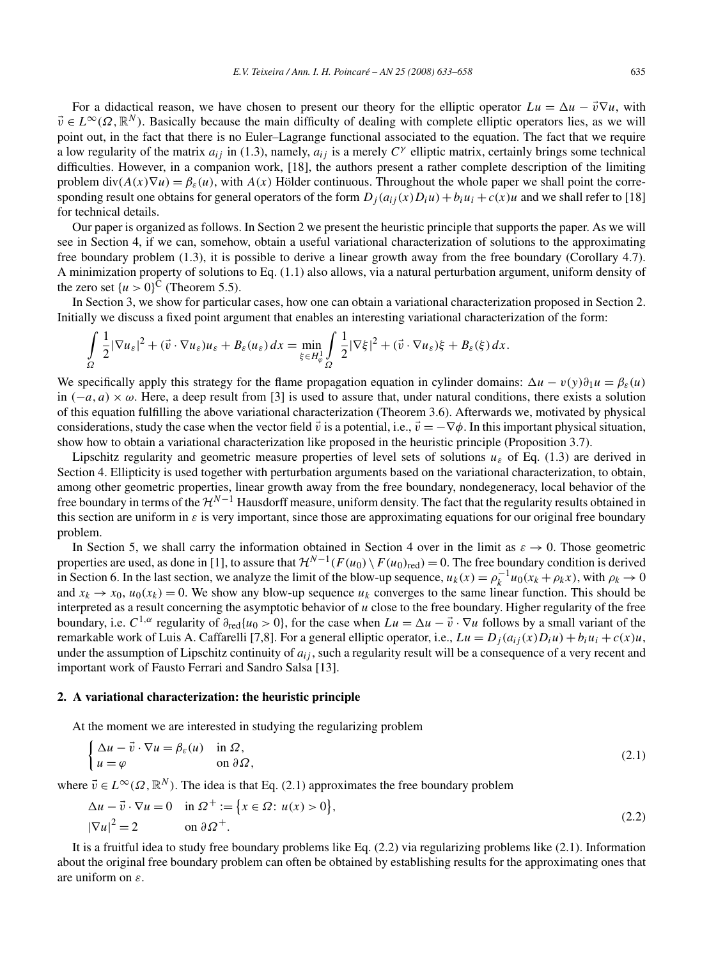For a didactical reason, we have chosen to present our theory for the elliptic operator  $Lu = \Delta u - \vec{v} \nabla u$ , with  $\vec{v} \in L^{\infty}(\Omega, \mathbb{R}^{N})$ . Basically because the main difficulty of dealing with complete elliptic operators lies, as we will point out, in the fact that there is no Euler–Lagrange functional associated to the equation. The fact that we require a low regularity of the matrix  $a_{ij}$  in (1.3), namely,  $a_{ij}$  is a merely  $C^{\gamma}$  elliptic matrix, certainly brings some technical difficulties. However, in a companion work, [18], the authors present a rather complete description of the limiting problem  $div(A(x)\nabla u) = \beta_{\varepsilon}(u)$ , with  $A(x)$  Hölder continuous. Throughout the whole paper we shall point the corresponding result one obtains for general operators of the form  $D_i(a_{ij}(x)D_iu) + b_iu_i + c(x)u$  and we shall refer to [18] for technical details.

Our paper is organized as follows. In Section 2 we present the heuristic principle that supports the paper. As we will see in Section 4, if we can, somehow, obtain a useful variational characterization of solutions to the approximating free boundary problem (1.3), it is possible to derive a linear growth away from the free boundary (Corollary 4.7). A minimization property of solutions to Eq. (1.1) also allows, via a natural perturbation argument, uniform density of the zero set  $\{u > 0\}^C$  (Theorem 5.5).

In Section 3, we show for particular cases, how one can obtain a variational characterization proposed in Section 2. Initially we discuss a fixed point argument that enables an interesting variational characterization of the form:

$$
\int_{\Omega} \frac{1}{2} |\nabla u_{\varepsilon}|^2 + (\vec{v} \cdot \nabla u_{\varepsilon}) u_{\varepsilon} + B_{\varepsilon}(u_{\varepsilon}) dx = \min_{\xi \in H_{\varphi}^1} \int_{\Omega} \frac{1}{2} |\nabla \xi|^2 + (\vec{v} \cdot \nabla u_{\varepsilon}) \xi + B_{\varepsilon}(\xi) dx.
$$

We specifically apply this strategy for the flame propagation equation in cylinder domains:  $\Delta u - v(y)\partial_1 u = \beta_{\varepsilon}(u)$ in  $(-a, a) \times \omega$ . Here, a deep result from [3] is used to assure that, under natural conditions, there exists a solution of this equation fulfilling the above variational characterization (Theorem 3.6). Afterwards we, motivated by physical considerations, study the case when the vector field  $\vec{v}$  is a potential, i.e.,  $\vec{v} = -\nabla \phi$ . In this important physical situation, show how to obtain a variational characterization like proposed in the heuristic principle (Proposition 3.7).

Lipschitz regularity and geometric measure properties of level sets of solutions  $u_{\varepsilon}$  of Eq. (1.3) are derived in Section 4. Ellipticity is used together with perturbation arguments based on the variational characterization, to obtain, among other geometric properties, linear growth away from the free boundary, nondegeneracy, local behavior of the free boundary in terms of the  $\mathcal{H}^{N-1}$  Hausdorff measure, uniform density. The fact that the regularity results obtained in this section are uniform in  $\varepsilon$  is very important, since those are approximating equations for our original free boundary problem.

In Section 5, we shall carry the information obtained in Section 4 over in the limit as  $\varepsilon \to 0$ . Those geometric properties are used, as done in [1], to assure that  $\mathcal{H}^{N-1}(F(u_0) \setminus F(u_0)_{\text{red}}) = 0$ . The free boundary condition is derived in Section 6. In the last section, we analyze the limit of the blow-up sequence,  $u_k(x) = \rho_k^{-1}u_0(x_k + \rho_k x)$ , with  $\rho_k \to 0$ and  $x_k \to x_0$ ,  $u_0(x_k) = 0$ . We show any blow-up sequence  $u_k$  converges to the same linear function. This should be interpreted as a result concerning the asymptotic behavior of *u* close to the free boundary. Higher regularity of the free boundary, i.e.  $C^{1,\alpha}$  regularity of  $\partial_{red}\{u_0 > 0\}$ , for the case when  $Lu = \Delta u - \vec{v} \cdot \nabla u$  follows by a small variant of the remarkable work of Luis A. Caffarelli [7,8]. For a general elliptic operator, i.e.,  $Lu = D_i(a_{ij}(x)D_iu) + b_iu_i + c(x)u$ , under the assumption of Lipschitz continuity of *aij* , such a regularity result will be a consequence of a very recent and important work of Fausto Ferrari and Sandro Salsa [13].

#### **2. A variational characterization: the heuristic principle**

At the moment we are interested in studying the regularizing problem

$$
\begin{cases} \Delta u - \vec{v} \cdot \nabla u = \beta_{\varepsilon}(u) & \text{in } \Omega, \\ u = \varphi & \text{on } \partial \Omega, \end{cases}
$$
 (2.1)

where  $\vec{v} \in L^{\infty}(\Omega, \mathbb{R}^{N})$ . The idea is that Eq. (2.1) approximates the free boundary problem

$$
\Delta u - \vec{v} \cdot \nabla u = 0 \quad \text{in } \Omega^+ := \left\{ x \in \Omega : u(x) > 0 \right\},\
$$
  

$$
|\nabla u|^2 = 2 \qquad \text{on } \partial \Omega^+.
$$
 (2.2)

It is a fruitful idea to study free boundary problems like Eq. (2.2) via regularizing problems like (2.1). Information about the original free boundary problem can often be obtained by establishing results for the approximating ones that are uniform on *ε*.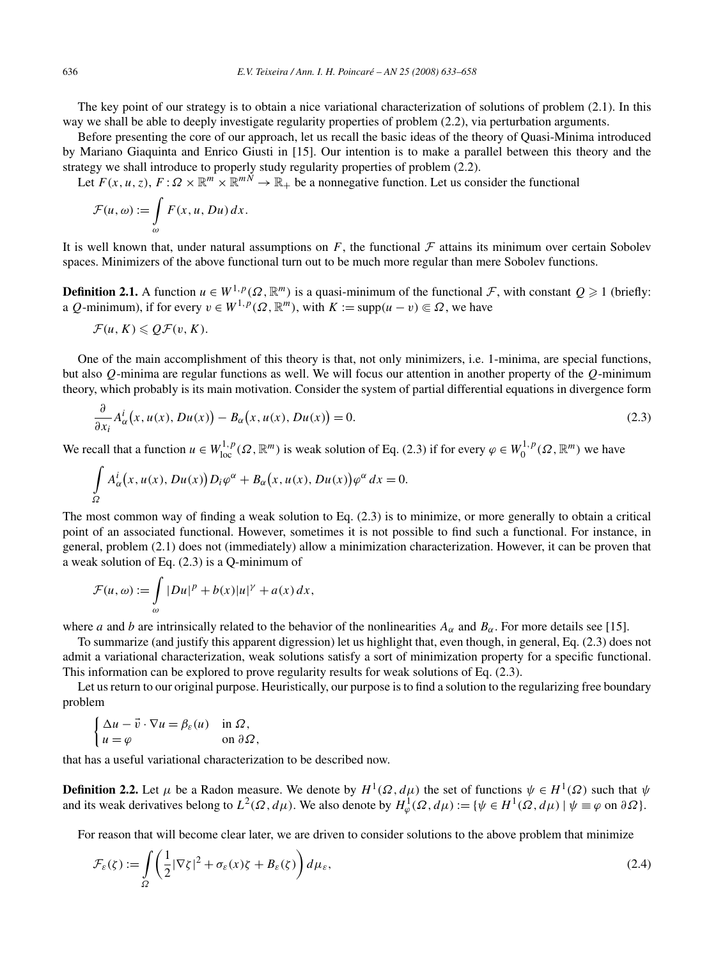The key point of our strategy is to obtain a nice variational characterization of solutions of problem (2.1). In this way we shall be able to deeply investigate regularity properties of problem (2.2), via perturbation arguments.

Before presenting the core of our approach, let us recall the basic ideas of the theory of Quasi-Minima introduced by Mariano Giaquinta and Enrico Giusti in [15]. Our intention is to make a parallel between this theory and the strategy we shall introduce to properly study regularity properties of problem (2.2).

Let  $F(x, u, z)$ ,  $F: \Omega \times \mathbb{R}^m \times \mathbb{R}^{m \times m} \to \mathbb{R}^+$  be a nonnegative function. Let us consider the functional

$$
\mathcal{F}(u,\omega) := \int_{\omega} F(x,u,Du) dx.
$$

It is well known that, under natural assumptions on  $F$ , the functional  $F$  attains its minimum over certain Sobolev spaces. Minimizers of the above functional turn out to be much more regular than mere Sobolev functions.

**Definition 2.1.** A function  $u \in W^{1,p}(\Omega,\mathbb{R}^m)$  is a quasi-minimum of the functional F, with constant  $Q \ge 1$  (briefly: a *Q*-minimum), if for every  $v \in W^{1,p}(\Omega, \mathbb{R}^m)$ , with  $K := \text{supp}(u - v) \subseteq \Omega$ , we have

$$
\mathcal{F}(u,K)\leqslant \mathcal{Q}\mathcal{F}(v,K).
$$

One of the main accomplishment of this theory is that, not only minimizers, i.e. 1-minima, are special functions, but also *Q*-minima are regular functions as well. We will focus our attention in another property of the *Q*-minimum theory, which probably is its main motivation. Consider the system of partial differential equations in divergence form

$$
\frac{\partial}{\partial x_i} A^i_{\alpha}(x, u(x), Du(x)) - B_{\alpha}(x, u(x), Du(x)) = 0.
$$
\n(2.3)

We recall that a function  $u \in W^{1,p}_{loc}(\Omega, \mathbb{R}^m)$  is weak solution of Eq. (2.3) if for every  $\varphi \in W^{1,p}_0(\Omega, \mathbb{R}^m)$  we have

$$
\int_{\Omega} A_{\alpha}^{i}(x, u(x), Du(x)) D_{i} \varphi^{\alpha} + B_{\alpha}(x, u(x), Du(x)) \varphi^{\alpha} dx = 0.
$$

The most common way of finding a weak solution to Eq. (2.3) is to minimize, or more generally to obtain a critical point of an associated functional. However, sometimes it is not possible to find such a functional. For instance, in general, problem (2.1) does not (immediately) allow a minimization characterization. However, it can be proven that a weak solution of Eq. (2.3) is a Q-minimum of

$$
\mathcal{F}(u,\omega) := \int_{\omega} |Du|^p + b(x)|u|^{\gamma} + a(x) dx,
$$

where *a* and *b* are intrinsically related to the behavior of the nonlinearities  $A_{\alpha}$  and  $B_{\alpha}$ . For more details see [15].

To summarize (and justify this apparent digression) let us highlight that, even though, in general, Eq. (2.3) does not admit a variational characterization, weak solutions satisfy a sort of minimization property for a specific functional. This information can be explored to prove regularity results for weak solutions of Eq. (2.3).

Let us return to our original purpose. Heuristically, our purpose is to find a solution to the regularizing free boundary problem

$$
\begin{cases} \Delta u - \vec{v} \cdot \nabla u = \beta_{\varepsilon}(u) & \text{in } \Omega, \\ u = \varphi & \text{on } \partial \Omega, \end{cases}
$$

that has a useful variational characterization to be described now.

**Definition 2.2.** Let  $\mu$  be a Radon measure. We denote by  $H^1(\Omega, d\mu)$  the set of functions  $\psi \in H^1(\Omega)$  such that  $\psi$ and its weak derivatives belong to  $L^2(\Omega, d\mu)$ . We also denote by  $H^1_\varphi(\Omega, d\mu) := \{ \psi \in H^1(\Omega, d\mu) \mid \psi \equiv \varphi \text{ on } \partial \Omega \}.$ 

For reason that will become clear later, we are driven to consider solutions to the above problem that minimize

$$
\mathcal{F}_{\varepsilon}(\zeta) := \int_{\Omega} \left( \frac{1}{2} |\nabla \zeta|^2 + \sigma_{\varepsilon}(x) \zeta + B_{\varepsilon}(\zeta) \right) d\mu_{\varepsilon},\tag{2.4}
$$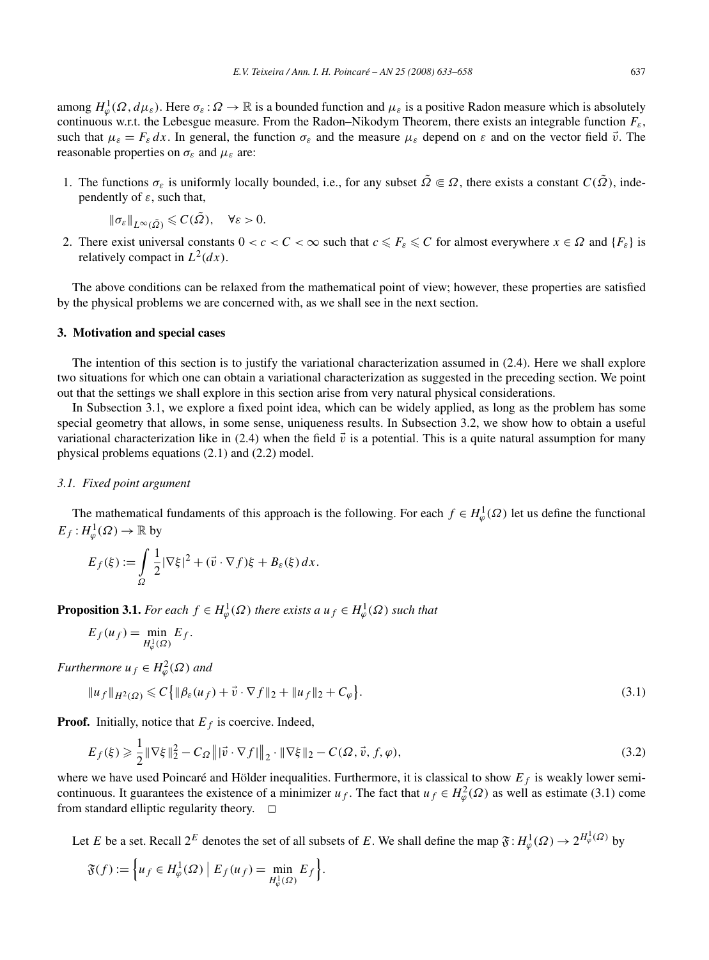among  $H^1_\varphi(\Omega, d\mu_\varepsilon)$ . Here  $\sigma_\varepsilon : \Omega \to \mathbb{R}$  is a bounded function and  $\mu_\varepsilon$  is a positive Radon measure which is absolutely continuous w.r.t. the Lebesgue measure. From the Radon–Nikodym Theorem, there exists an integrable function *Fε*, such that  $\mu_{\varepsilon} = F_{\varepsilon} dx$ . In general, the function  $\sigma_{\varepsilon}$  and the measure  $\mu_{\varepsilon}$  depend on  $\varepsilon$  and on the vector field  $\vec{v}$ . The reasonable properties on  $\sigma_{\varepsilon}$  and  $\mu_{\varepsilon}$  are:

1. The functions  $\sigma_{\varepsilon}$  is uniformly locally bounded, i.e., for any subset  $\tilde{\Omega} \in \Omega$ , there exists a constant  $C(\tilde{\Omega})$ , independently of *ε*, such that,

$$
\|\sigma_{\varepsilon}\|_{L^{\infty}(\tilde{\Omega})}\leqslant C(\tilde{\Omega}),\quad \forall \varepsilon>0.
$$

2. There exist universal constants  $0 < c < C < \infty$  such that  $c \leq F_{\varepsilon} \leq C$  for almost everywhere  $x \in \Omega$  and  $\{F_{\varepsilon}\}\)$  is relatively compact in  $L^2(dx)$ .

The above conditions can be relaxed from the mathematical point of view; however, these properties are satisfied by the physical problems we are concerned with, as we shall see in the next section.

#### **3. Motivation and special cases**

The intention of this section is to justify the variational characterization assumed in (2.4). Here we shall explore two situations for which one can obtain a variational characterization as suggested in the preceding section. We point out that the settings we shall explore in this section arise from very natural physical considerations.

In Subsection 3.1, we explore a fixed point idea, which can be widely applied, as long as the problem has some special geometry that allows, in some sense, uniqueness results. In Subsection 3.2, we show how to obtain a useful variational characterization like in (2.4) when the field  $\vec{v}$  is a potential. This is a quite natural assumption for many physical problems equations (2.1) and (2.2) model.

# *3.1. Fixed point argument*

The mathematical fundaments of this approach is the following. For each  $f \in H^1_\varphi(\Omega)$  let us define the functional  $E_f$  :  $H^1_\varphi(\Omega) \to \mathbb{R}$  by

$$
E_f(\xi) := \int_{\Omega} \frac{1}{2} |\nabla \xi|^2 + (\vec{v} \cdot \nabla f)\xi + B_{\varepsilon}(\xi) dx.
$$

**Proposition 3.1.** *For each*  $f \in H^1_\varphi(\Omega)$  *there exists a*  $u_f \in H^1_\varphi(\Omega)$  *such that* 

$$
E_f(u_f) = \min_{H^1_{\varphi}(\Omega)} E_f.
$$

*Furthermore*  $u_f \in H^2_\varphi(\Omega)$  *and* 

$$
||u_f||_{H^2(\Omega)} \leq C \{ ||\beta_{\varepsilon}(u_f) + \vec{v} \cdot \nabla f||_2 + ||u_f||_2 + C_{\varphi} \}.
$$
\n(3.1)

**Proof.** Initially, notice that  $E_f$  is coercive. Indeed,

$$
E_f(\xi) \geq \frac{1}{2} \|\nabla \xi\|_2^2 - C_{\Omega} \left\| \vec{v} \cdot \nabla f \right\|_2 \cdot \|\nabla \xi\|_2 - C(\Omega, \vec{v}, f, \varphi),\tag{3.2}
$$

where we have used Poincaré and Hölder inequalities. Furthermore, it is classical to show  $E_f$  is weakly lower semicontinuous. It guarantees the existence of a minimizer  $u_f$ . The fact that  $u_f \in H^2_{\varphi}(\Omega)$  as well as estimate (3.1) come from standard elliptic regularity theory.  $\Box$ 

Let *E* be a set. Recall  $2^E$  denotes the set of all subsets of *E*. We shall define the map  $\mathfrak{F}: H^1_\varphi(\Omega) \to 2^{H^1_\varphi(\Omega)}$  by

$$
\mathfrak{F}(f) := \left\{ u_f \in H^1_{\varphi}(\Omega) \mid E_f(u_f) = \min_{H^1_{\varphi}(\Omega)} E_f \right\}.
$$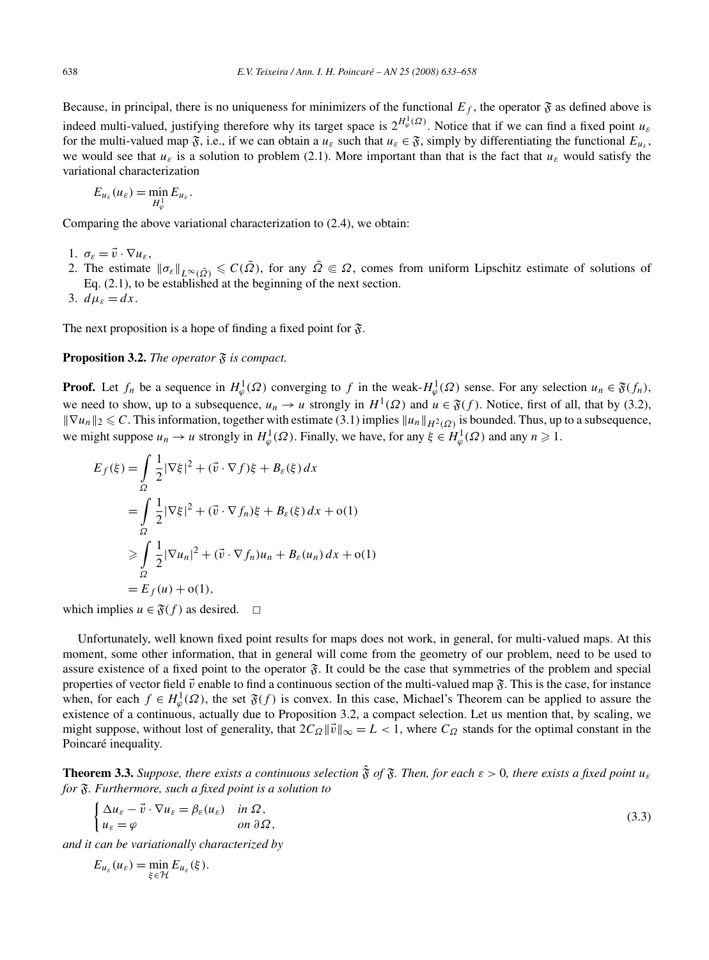Because, in principal, there is no uniqueness for minimizers of the functional  $E_f$ , the operator  $\mathfrak F$  as defined above is indeed multi-valued, justifying therefore why its target space is  $2^{H^1_\varphi(\Omega)}$ . Notice that if we can find a fixed point  $u_\varepsilon$ for the multi-valued map  $\mathfrak{F}$ , i.e., if we can obtain a  $u_{\varepsilon}$  such that  $u_{\varepsilon} \in \mathfrak{F}$ , simply by differentiating the functional  $E_{u_{\varepsilon}}$ , we would see that  $u_{\varepsilon}$  is a solution to problem (2.1). More important than that is the fact that  $u_{\varepsilon}$  would satisfy the variational characterization

$$
E_{u_{\varepsilon}}(u_{\varepsilon}) = \min_{H^1_{\varphi}} E_{u_{\varepsilon}}.
$$

Comparing the above variational characterization to (2.4), we obtain:

- 1.  $\sigma_{\varepsilon} = \vec{v} \cdot \nabla u_{\varepsilon}$ ,
- 2. The estimate  $\|\sigma_{\varepsilon}\|_{L^{\infty}(\tilde{\Omega})} \leqslant C(\tilde{\Omega})$ , for any  $\tilde{\Omega} \in \Omega$ , comes from uniform Lipschitz estimate of solutions of Eq.  $(2.1)$ , to be established at the beginning of the next section.
- 3.  $d\mu_{\varepsilon} = dx$ .

The next proposition is a hope of finding a fixed point for  $\mathfrak{F}$ .

## **Proposition 3.2.** *The operator*  $\mathfrak{F}$  *is compact.*

**Proof.** Let  $f_n$  be a sequence in  $H^1_\varphi(\Omega)$  converging to  $f$  in the weak- $H^1_\varphi(\Omega)$  sense. For any selection  $u_n \in \mathfrak{F}(f_n)$ , we need to show, up to a subsequence,  $u_n \to u$  strongly in  $H^1(\Omega)$  and  $u \in \mathfrak{F}(f)$ . Notice, first of all, that by (3.2),  $\|\nabla u_n\|_2 \leq C$ . This information, together with estimate (3.1) implies  $\|u_n\|_{H^2(\Omega)}$  is bounded. Thus, up to a subsequence, we might suppose  $u_n \to u$  strongly in  $H^1_\varphi(\Omega)$ . Finally, we have, for any  $\xi \in H^1_\varphi(\Omega)$  and any  $n \ge 1$ .

$$
E_f(\xi) = \int_{\Omega} \frac{1}{2} |\nabla \xi|^2 + (\vec{v} \cdot \nabla f)\xi + B_{\varepsilon}(\xi) dx
$$
  
= 
$$
\int_{\Omega} \frac{1}{2} |\nabla \xi|^2 + (\vec{v} \cdot \nabla f_n)\xi + B_{\varepsilon}(\xi) dx + o(1)
$$
  

$$
\geq \int_{\Omega} \frac{1}{2} |\nabla u_n|^2 + (\vec{v} \cdot \nabla f_n)u_n + B_{\varepsilon}(u_n) dx + o(1)
$$
  
= 
$$
E_f(u) + o(1),
$$

which implies  $u \in \mathfrak{F}(f)$  as desired.  $\Box$ 

Unfortunately, well known fixed point results for maps does not work, in general, for multi-valued maps. At this moment, some other information, that in general will come from the geometry of our problem, need to be used to assure existence of a fixed point to the operator  $\mathfrak{F}$ . It could be the case that symmetries of the problem and special properties of vector field  $\vec{v}$  enable to find a continuous section of the multi-valued map  $\mathfrak{F}$ . This is the case, for instance when, for each  $f \in H^1_\varphi(\Omega)$ , the set  $\mathfrak{F}(f)$  is convex. In this case, Michael's Theorem can be applied to assure the existence of a continuous, actually due to Proposition 3.2, a compact selection. Let us mention that, by scaling, we might suppose, without lost of generality, that  $2C_Q ||\vec{v}||_{\infty} = L < 1$ , where  $C_Q$  stands for the optimal constant in the Poincaré inequality.

**Theorem 3.3.** *Suppose, there exists a continuous selection*  $\hat{\mathbf{\hat{S}}}$  *of*  $\hat{\mathbf{\hat{S}}}$ *. Then, for each*  $\varepsilon > 0$ *, there exists a fixed point*  $u_{\varepsilon}$ *for* F*. Furthermore, such a fixed point is a solution to*

$$
\begin{cases} \Delta u_{\varepsilon} - \vec{v} \cdot \nabla u_{\varepsilon} = \beta_{\varepsilon}(u_{\varepsilon}) & \text{in } \Omega, \\ u_{\varepsilon} = \varphi & \text{on } \partial \Omega, \end{cases}
$$
\n(3.3)

*and it can be variationally characterized by*

$$
E_{u_{\varepsilon}}(u_{\varepsilon}) = \min_{\xi \in \mathcal{H}} E_{u_{\varepsilon}}(\xi).
$$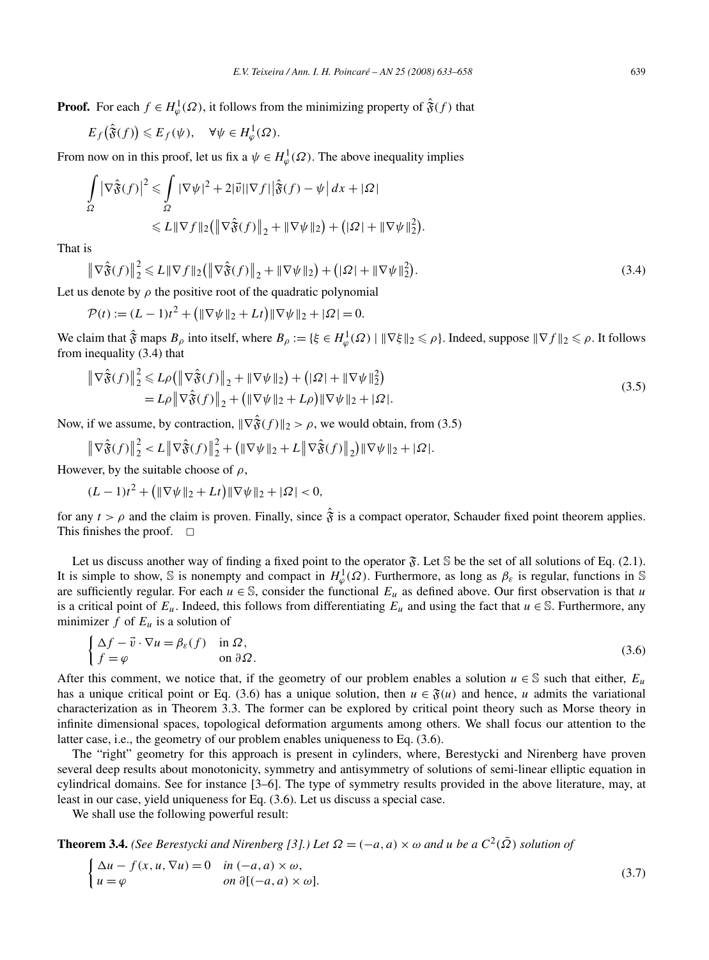**Proof.** For each  $f \in H^1_\varphi(\Omega)$ , it follows from the minimizing property of  $\hat{\mathfrak{F}}(f)$  that

$$
E_f(\hat{\mathfrak{F}}(f)) \leqslant E_f(\psi), \quad \forall \psi \in H^1_\varphi(\Omega).
$$

From now on in this proof, let us fix a  $\psi \in H^1_\varphi(\Omega)$ . The above inequality implies

$$
\int_{\Omega} \left| \nabla \hat{\mathfrak{F}}(f) \right|^2 \leq \int_{\Omega} |\nabla \psi|^2 + 2|\vec{v}||\nabla f| \Big| \hat{\mathfrak{F}}(f) - \psi \Big| dx + |\Omega|
$$
  

$$
\leq L \| \nabla f \|_2 \Big( \left\| \nabla \hat{\mathfrak{F}}(f) \right\|_2 + \|\nabla \psi\|_2 \Big) + \big( |\Omega| + \|\nabla \psi\|_2^2 \Big).
$$

That is

$$
\left\|\nabla\hat{\mathfrak{F}}(f)\right\|_{2}^{2} \leq L\|\nabla f\|_{2}\left(\left\|\nabla\hat{\mathfrak{F}}(f)\right\|_{2} + \|\nabla\psi\|_{2}\right) + \left(|\Omega| + \|\nabla\psi\|_{2}^{2}\right).
$$
\n(3.4)

Let us denote by  $\rho$  the positive root of the quadratic polynomial

 $\mathcal{P}(t) := (L - 1)t^2 + (\|\nabla \psi\|_2 + Lt)\|\nabla \psi\|_2 + |\Omega| = 0.$ 

We claim that  $\hat{\mathfrak{F}}$  maps  $B_\rho$  into itself, where  $B_\rho := {\{\xi \in H^1_\phi(\Omega) \mid ||\nabla \xi||_2 \leqslant \rho\}}$ . Indeed, suppose  $||\nabla f||_2 \leqslant \rho$ . It follows from inequality (3.4) that

$$
\|\nabla \hat{\mathfrak{F}}(f)\|_{2}^{2} \leq L\rho \left(\|\nabla \hat{\mathfrak{F}}(f)\|_{2} + \|\nabla \psi\|_{2}\right) + (|\Omega| + \|\nabla \psi\|_{2}^{2})
$$
  
=  $L\rho \|\nabla \hat{\mathfrak{F}}(f)\|_{2} + (\|\nabla \psi\|_{2} + L\rho) \|\nabla \psi\|_{2} + |\Omega|.$  (3.5)

Now, if we assume, by contraction,  $\|\nabla \hat{\mathfrak{F}}(f)\|_2 > \rho$ , we would obtain, from (3.5)

$$
\left\|\nabla\hat{\mathfrak{F}}(f)\right\|_{2}^{2} < L\left\|\nabla\hat{\mathfrak{F}}(f)\right\|_{2}^{2} + \left(\|\nabla\psi\|_{2} + L\left\|\nabla\hat{\mathfrak{F}}(f)\right\|_{2}\right)\|\nabla\psi\|_{2} + |\Omega|.
$$

However, by the suitable choose of *ρ*,

$$
(L-1)t^2 + (\|\nabla \psi\|_2 + Lt)\|\nabla \psi\|_2 + |\Omega| < 0,
$$

for any  $t > \rho$  and the claim is proven. Finally, since  $\hat{\mathbf{\hat{x}}}$  is a compact operator, Schauder fixed point theorem applies. This finishes the proof.  $\Box$ 

Let us discuss another way of finding a fixed point to the operator  $\mathfrak{F}$ . Let S be the set of all solutions of Eq. (2.1). It is simple to show, S is nonempty and compact in  $H^1_\varphi(\Omega)$ . Furthermore, as long as  $\beta_\varepsilon$  is regular, functions in S are sufficiently regular. For each  $u \in \mathbb{S}$ , consider the functional  $E_u$  as defined above. Our first observation is that *u* is a critical point of  $E_u$ . Indeed, this follows from differentiating  $E_u$  and using the fact that  $u \in \mathbb{S}$ . Furthermore, any minimizer  $f$  of  $E_u$  is a solution of

$$
\begin{cases} \Delta f - \vec{v} \cdot \nabla u = \beta_{\varepsilon}(f) & \text{in } \Omega, \\ f = \varphi & \text{on } \partial \Omega. \end{cases}
$$
 (3.6)

After this comment, we notice that, if the geometry of our problem enables a solution  $u \in \mathbb{S}$  such that either,  $E_u$ has a unique critical point or Eq. (3.6) has a unique solution, then  $u \in \mathfrak{F}(u)$  and hence, *u* admits the variational characterization as in Theorem 3.3. The former can be explored by critical point theory such as Morse theory in infinite dimensional spaces, topological deformation arguments among others. We shall focus our attention to the latter case, i.e., the geometry of our problem enables uniqueness to Eq. (3.6).

The "right" geometry for this approach is present in cylinders, where, Berestycki and Nirenberg have proven several deep results about monotonicity, symmetry and antisymmetry of solutions of semi-linear elliptic equation in cylindrical domains. See for instance [3–6]. The type of symmetry results provided in the above literature, may, at least in our case, yield uniqueness for Eq. (3.6). Let us discuss a special case.

We shall use the following powerful result:

**Theorem 3.4.** *(See Berestycki and Nirenberg [3].) Let*  $\Omega = (-a, a) \times \omega$  *and u be a*  $C^2(\overline{\Omega})$  *solution of* 

$$
\begin{cases} \Delta u - f(x, u, \nabla u) = 0 & \text{in } (-a, a) \times \omega, \\ u = \varphi & \text{on } \partial [(-a, a) \times \omega]. \end{cases}
$$
 (3.7)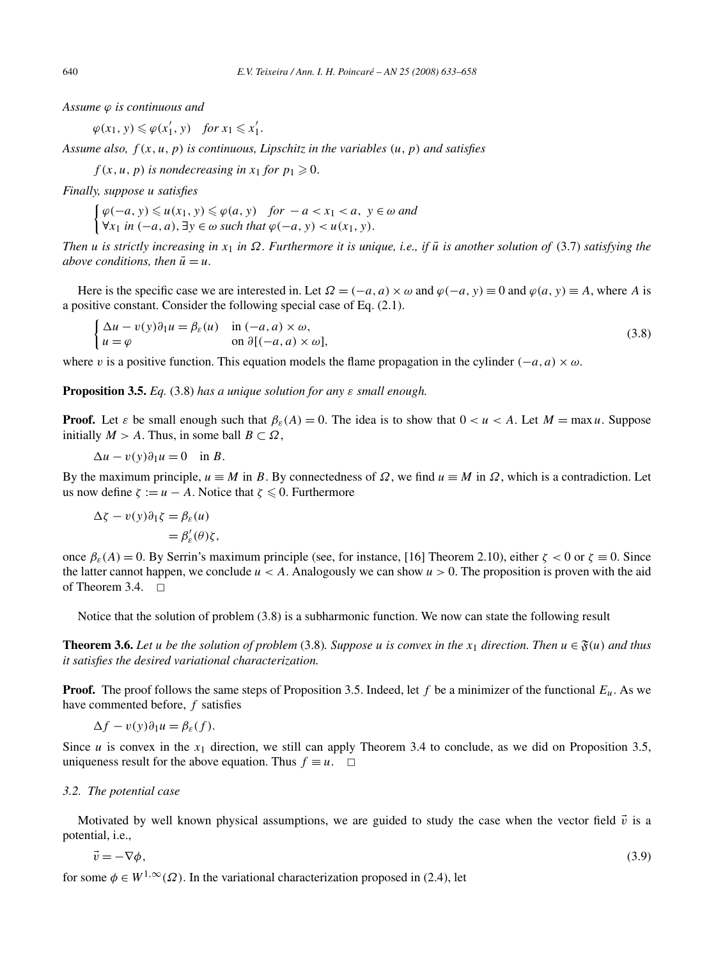*Assume ϕ is continuous and*

 $\varphi(x_1, y) \leq \varphi(x'_1, y)$  *for*  $x_1 \leq x'_1$ .

*Assume also, f (x,u,p) is continuous, Lipschitz in the variables (u,p) and satisfies*

 $f(x, u, p)$  *is nondecreasing in*  $x_1$  *for*  $p_1 \ge 0$ *.* 

*Finally, suppose u satisfies*

 $\int \varphi(-a, y) \leq u(x_1, y) \leq \varphi(a, y)$  *for*  $-a < x_1 < a$ ,  $y \in \omega$  *and*  $∀x_1$  *in*  $(-a, a)$ , ∃*y* ∈ *ω such that*  $\varphi(-a, y) < u(x_1, y)$ .

*Then u* is strictly increasing in  $x_1$  in  $\Omega$ . Furthermore it is unique, i.e., if  $\bar{u}$  is another solution of (3.7) satisfying the *above conditions, then*  $\bar{u} = u$ *.* 

Here is the specific case we are interested in. Let  $\Omega = (-a, a) \times \omega$  and  $\varphi(-a, y) \equiv 0$  and  $\varphi(a, y) \equiv A$ , where *A* is a positive constant. Consider the following special case of Eq. (2.1).

$$
\begin{cases} \Delta u - v(y)\partial_1 u = \beta_{\varepsilon}(u) & \text{in } (-a, a) \times \omega, \\ u = \varphi & \text{on } \partial[(-a, a) \times \omega], \end{cases}
$$
\n(3.8)

where *v* is a positive function. This equation models the flame propagation in the cylinder  $(-a, a) \times \omega$ .

**Proposition 3.5.** *Eq.* (3.8) *has a unique solution for any ε small enough.*

**Proof.** Let *ε* be small enough such that  $\beta_{\varepsilon}(A) = 0$ . The idea is to show that  $0 < u < A$ . Let  $M = \max u$ . Suppose initially  $M > A$ . Thus, in some ball  $B \subset \Omega$ ,

$$
\Delta u - v(y)\partial_1 u = 0 \quad \text{in } B.
$$

By the maximum principle,  $u \equiv M$  in *B*. By connectedness of  $Ω$ , we find  $u \equiv M$  in  $Ω$ , which is a contradiction. Let us now define  $\zeta := u - A$ . Notice that  $\zeta \leq 0$ . Furthermore

$$
\Delta \zeta - v(y)\partial_1 \zeta = \beta_{\varepsilon}(u)
$$
  
=  $\beta'_{\varepsilon}(\theta)\zeta$ ,

once  $β_ε(A) = 0$ . By Serrin's maximum principle (see, for instance, [16] Theorem 2.10), either  $ζ < 0$  or  $ζ \equiv 0$ . Since the latter cannot happen, we conclude  $u < A$ . Analogously we can show  $u > 0$ . The proposition is proven with the aid of Theorem 3.4.  $\Box$ 

Notice that the solution of problem (3.8) is a subharmonic function. We now can state the following result

**Theorem 3.6.** Let *u* be the solution of problem (3.8). Suppose *u* is convex in the  $x_1$  direction. Then  $u \in \mathfrak{F}(u)$  and thus *it satisfies the desired variational characterization.*

**Proof.** The proof follows the same steps of Proposition 3.5. Indeed, let  $f$  be a minimizer of the functional  $E_u$ . As we have commented before, *f* satisfies

$$
\Delta f - v(y)\partial_1 u = \beta_{\varepsilon}(f).
$$

Since *u* is convex in the  $x_1$  direction, we still can apply Theorem 3.4 to conclude, as we did on Proposition 3.5, uniqueness result for the above equation. Thus  $f \equiv u$ .  $\Box$ 

# *3.2. The potential case*

Motivated by well known physical assumptions, we are guided to study the case when the vector field  $\vec{v}$  is a potential, i.e.,

$$
\vec{v} = -\nabla\phi,\tag{3.9}
$$

for some  $\phi \in W^{1,\infty}(\Omega)$ . In the variational characterization proposed in (2.4), let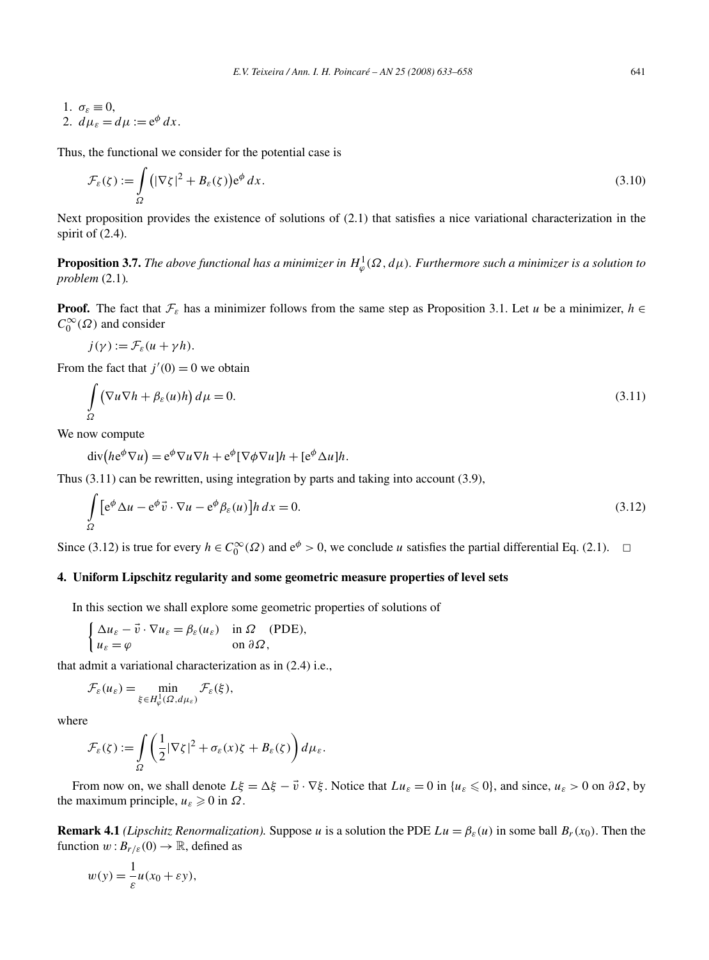1.  $\sigma_{\varepsilon} \equiv 0$ , 2.  $d\mu_{\varepsilon} = d\mu := e^{\phi} dx$ .

Thus, the functional we consider for the potential case is

$$
\mathcal{F}_{\varepsilon}(\zeta) := \int_{\Omega} \left( |\nabla \zeta|^2 + B_{\varepsilon}(\zeta) \right) e^{\phi} dx.
$$
\n(3.10)

Next proposition provides the existence of solutions of (2.1) that satisfies a nice variational characterization in the spirit of  $(2.4)$ .

**Proposition 3.7.** The above functional has a minimizer in  $H^1_\varphi(\Omega, d\mu)$ . Furthermore such a minimizer is a solution to *problem* (2.1)*.*

**Proof.** The fact that  $\mathcal{F}_{\varepsilon}$  has a minimizer follows from the same step as Proposition 3.1. Let *u* be a minimizer, *h* ∈  $C_0^{\infty}(\Omega)$  and consider

$$
j(\gamma) := \mathcal{F}_{\varepsilon}(u + \gamma h).
$$

From the fact that  $j'(0) = 0$  we obtain

$$
\int_{\Omega} \left( \nabla u \nabla h + \beta_{\varepsilon}(u) h \right) d\mu = 0. \tag{3.11}
$$

We now compute

$$
\operatorname{div}(he^{\phi}\nabla u) = e^{\phi}\nabla u \nabla h + e^{\phi}[\nabla \phi \nabla u]h + [e^{\phi} \Delta u]h.
$$

Thus (3.11) can be rewritten, using integration by parts and taking into account (3.9),

$$
\int_{\Omega} \left[ e^{\phi} \Delta u - e^{\phi} \vec{v} \cdot \nabla u - e^{\phi} \beta_{\varepsilon}(u) \right] h \, dx = 0.
$$
\n(3.12)

Since (3.12) is true for every  $h \in C_0^{\infty}(\Omega)$  and  $e^{\phi} > 0$ , we conclude *u* satisfies the partial differential Eq. (2.1).  $\Box$ 

# **4. Uniform Lipschitz regularity and some geometric measure properties of level sets**

In this section we shall explore some geometric properties of solutions of

$$
\begin{cases} \Delta u_{\varepsilon} - \vec{v} \cdot \nabla u_{\varepsilon} = \beta_{\varepsilon}(u_{\varepsilon}) & \text{in } \Omega \quad \text{(PDE)}, \\ u_{\varepsilon} = \varphi & \text{on } \partial \Omega, \end{cases}
$$

that admit a variational characterization as in (2.4) i.e.,

$$
\mathcal{F}_{\varepsilon}(u_{\varepsilon}) = \min_{\xi \in H_{\varphi}^1(\Omega, d\mu_{\varepsilon})} \mathcal{F}_{\varepsilon}(\xi),
$$

where

$$
\mathcal{F}_{\varepsilon}(\zeta) := \int\limits_{\Omega} \left( \frac{1}{2} |\nabla \zeta|^2 + \sigma_{\varepsilon}(x) \zeta + B_{\varepsilon}(\zeta) \right) d\mu_{\varepsilon}.
$$

From now on, we shall denote  $L\xi = \Delta \xi - \vec{v} \cdot \nabla \xi$ . Notice that  $Lu_{\varepsilon} = 0$  in  $\{u_{\varepsilon} \le 0\}$ , and since,  $u_{\varepsilon} > 0$  on  $\partial \Omega$ , by the maximum principle,  $u_{\varepsilon} \geq 0$  in  $\Omega$ .

**Remark 4.1** *(Lipschitz Renormalization).* Suppose *u* is a solution the PDE  $Lu = \beta_{\varepsilon}(u)$  in some ball  $B_r(x_0)$ . Then the function  $w: B_{r/\varepsilon}(0) \to \mathbb{R}$ , defined as

$$
w(y) = \frac{1}{\varepsilon}u(x_0 + \varepsilon y),
$$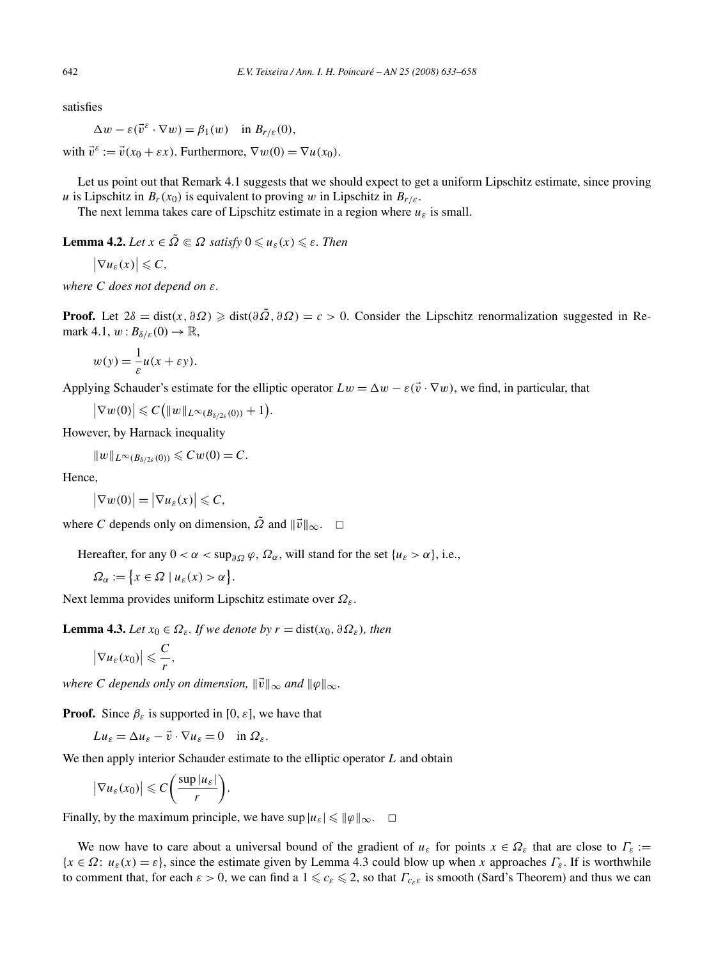satisfies

 $\Delta w - \varepsilon(\vec{v}^{\varepsilon} \cdot \nabla w) = \beta_1(w)$  in  $B_{r/\varepsilon}(0)$ ,

with  $\vec{v}^{\varepsilon} := \vec{v}(x_0 + \varepsilon x)$ . Furthermore,  $\nabla w(0) = \nabla u(x_0)$ .

Let us point out that Remark 4.1 suggests that we should expect to get a uniform Lipschitz estimate, since proving *u* is Lipschitz in  $B_r(x_0)$  is equivalent to proving *w* in Lipschitz in  $B_{r/\varepsilon}$ .

The next lemma takes care of Lipschitz estimate in a region where  $u_{\varepsilon}$  is small.

**Lemma 4.2.** *Let*  $x \in \tilde{\Omega} \subseteq \Omega$  *satisfy*  $0 \leq u_{\varepsilon}(x) \leq \varepsilon$ . *Then* 

 $\left|\nabla u_{\varepsilon}(x)\right| \leqslant C,$ 

*where C does not depend on ε.*

**Proof.** Let  $2\delta = \text{dist}(x, \partial \Omega) \geq \text{dist}(\partial \tilde{\Omega}, \partial \Omega) = c > 0$ . Consider the Lipschitz renormalization suggested in Remark 4.1,  $w: B_{\delta/\varepsilon}(0) \to \mathbb{R}$ ,

 $w(y) = \frac{1}{\varepsilon}u(x + \varepsilon y).$ 

Applying Schauder's estimate for the elliptic operator  $Lw = \Delta w - \varepsilon(\vec{v} \cdot \nabla w)$ , we find, in particular, that

$$
|\nabla w(0)| \leqslant C\big(\|w\|_{L^{\infty}(B_{\delta/2\varepsilon}(0))}+1\big).
$$

However, by Harnack inequality

$$
||w||_{L^{\infty}(B_{\delta/2\varepsilon}(0))} \leqslant Cw(0) = C.
$$

Hence,

$$
\big|\nabla w(0)\big|=\big|\nabla u_{\varepsilon}(x)\big|\leqslant C,
$$

where *C* depends only on dimension,  $\tilde{\Omega}$  and  $\|\vec{v}\|_{\infty}$ .  $\square$ 

Hereafter, for any  $0 < \alpha < \sup_{\partial \Omega} \varphi$ ,  $\Omega_{\alpha}$ , will stand for the set { $u_{\varepsilon} > \alpha$ }, i.e.,

$$
\Omega_{\alpha} := \{ x \in \Omega \mid u_{\varepsilon}(x) > \alpha \}.
$$

Next lemma provides uniform Lipschitz estimate over *Ωε*.

**Lemma 4.3.** *Let*  $x_0 \in \Omega_{\varepsilon}$ *. If we denote by*  $r = \text{dist}(x_0, \partial \Omega_{\varepsilon})$ *, then* 

$$
\left|\nabla u_{\varepsilon}(x_0)\right|\leqslant \frac{C}{r},
$$

*where C* depends only on dimension,  $\|\vec{v}\|_{\infty}$  and  $\|\varphi\|_{\infty}$ .

**Proof.** Since  $\beta_{\varepsilon}$  is supported in [0,  $\varepsilon$ ], we have that

 $Lu_{\varepsilon} = \Delta u_{\varepsilon} - \vec{v} \cdot \nabla u_{\varepsilon} = 0$  in  $\Omega_{\varepsilon}$ .

We then apply interior Schauder estimate to the elliptic operator *L* and obtain

$$
\left|\nabla u_{\varepsilon}(x_0)\right| \leqslant C\bigg(\frac{\sup|u_{\varepsilon}|}{r}\bigg).
$$

Finally, by the maximum principle, we have  $\sup |u_{\varepsilon}| \leq ||\varphi||_{\infty}$ .  $\Box$ 

We now have to care about a universal bound of the gradient of  $u_{\varepsilon}$  for points  $x \in \Omega_{\varepsilon}$  that are close to  $\Gamma_{\varepsilon}$  :=  ${x \in \Omega: u_{\varepsilon}(x) = \varepsilon}$ , since the estimate given by Lemma 4.3 could blow up when *x* approaches  $\Gamma_{\varepsilon}$ . If is worthwhile to comment that, for each  $\varepsilon > 0$ , we can find a  $1 \leq c_{\varepsilon} \leq 2$ , so that  $\Gamma_{c_{\varepsilon} \varepsilon}$  is smooth (Sard's Theorem) and thus we can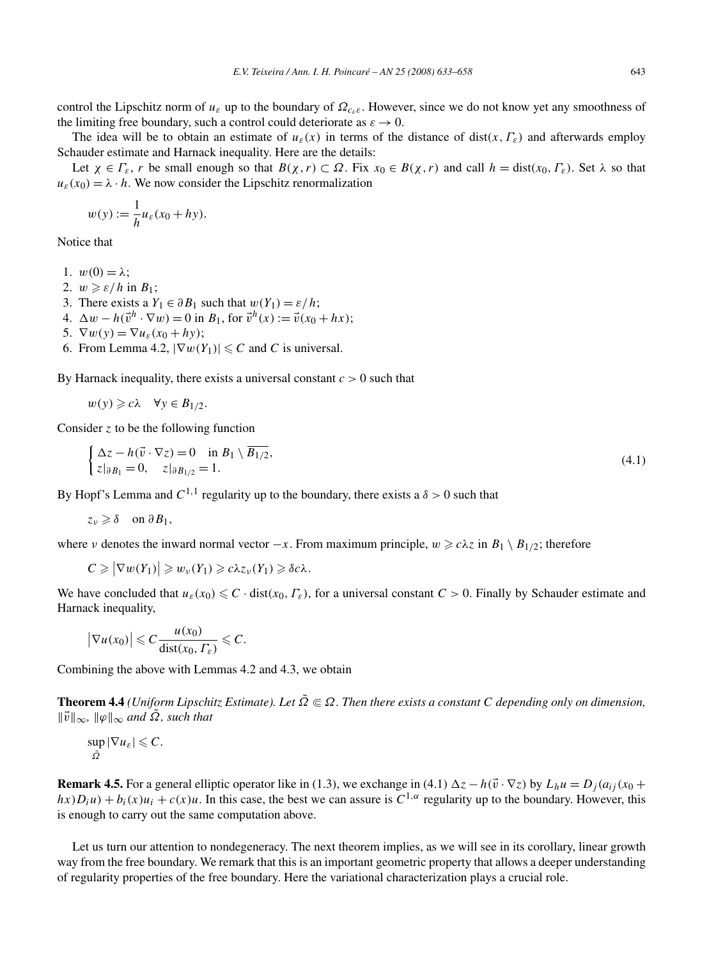control the Lipschitz norm of *uε* up to the boundary of *Ωcεε*. However, since we do not know yet any smoothness of the limiting free boundary, such a control could deteriorate as  $\varepsilon \to 0$ .

The idea will be to obtain an estimate of  $u_{\varepsilon}(x)$  in terms of the distance of dist $(x, \Gamma_{\varepsilon})$  and afterwards employ Schauder estimate and Harnack inequality. Here are the details:

Let  $\chi \in \Gamma_{\varepsilon}$ , *r* be small enough so that  $B(\chi, r) \subset \Omega$ . Fix  $x_0 \in B(\chi, r)$  and call  $h = \text{dist}(x_0, \Gamma_{\varepsilon})$ . Set  $\lambda$  so that  $u_{\varepsilon}(x_0) = \lambda \cdot h$ . We now consider the Lipschitz renormalization

$$
w(y) := \frac{1}{h}u_{\varepsilon}(x_0 + hy).
$$

1

Notice that

1.  $w(0) = \lambda$ ;

- 2.  $w \geqslant \varepsilon/h$  in  $B_1$ ;
- 3. There exists a  $Y_1 \in \partial B_1$  such that  $w(Y_1) = \varepsilon/h$ ;
- 4.  $\Delta w h(\vec{v}^h \cdot \nabla w) = 0$  in *B*<sub>1</sub>, for  $\vec{v}^h(x) := \vec{v}(x_0 + hx);$

5.  $\nabla w(y) = \nabla u_{\varepsilon}(x_0 + hy);$ 

6. From Lemma 4.2,  $|\nabla w(Y_1)| \leq C$  and *C* is universal.

By Harnack inequality, there exists a universal constant *c >* 0 such that

 $w(y) \geq c\lambda \quad \forall y \in B_{1/2}.$ 

Consider *z* to be the following function

$$
\begin{cases} \Delta z - h(\vec{v} \cdot \nabla z) = 0 & \text{in } B_1 \setminus \overline{B_{1/2}}, \\ z|_{\partial B_1} = 0, \quad z|_{\partial B_{1/2}} = 1. \end{cases} \tag{4.1}
$$

By Hopf's Lemma and  $C^{1,1}$  regularity up to the boundary, there exists a  $\delta > 0$  such that

 $z_v \geq \delta$  on  $\partial B_1$ ,

where *ν* denotes the inward normal vector  $-x$ . From maximum principle,  $w \ge c\lambda z$  in  $B_1 \setminus B_{1/2}$ ; therefore

$$
C \geq |\nabla w(Y_1)| \geq w_{\nu}(Y_1) \geq c\lambda z_{\nu}(Y_1) \geq \delta c\lambda.
$$

We have concluded that  $u_{\varepsilon}(x_0) \leq C \cdot dist(x_0, \Gamma_{\varepsilon})$ , for a universal constant  $C > 0$ . Finally by Schauder estimate and Harnack inequality,

$$
\big|\nabla u(x_0)\big|\leqslant C\frac{u(x_0)}{\mathrm{dist}(x_0,\varGamma_\varepsilon)}\leqslant C.
$$

Combining the above with Lemmas 4.2 and 4.3, we obtain

**Theorem 4.4** *(Uniform Lipschitz Estimate). Let*  $\tilde{\Omega} \in \Omega$ . Then there exists a constant C depending only on dimension,  $\|\vec{v}\|_{\infty}$ ,  $\|\varphi\|_{\infty}$  *and*  $\tilde{\Omega}$ *, such that* 

$$
\sup_{\tilde{\Omega}} |\nabla u_{\varepsilon}| \leqslant C.
$$

**Remark 4.5.** For a general elliptic operator like in (1.3), we exchange in (4.1)  $\Delta z - h(\vec{v} \cdot \nabla z)$  by  $L_h u = D_j(a_{ij}(x_0 +$  $h(x)D_iu$  +  $b_i(x)u_i$  +  $c(x)u$ . In this case, the best we can assure is  $C^{1,\alpha}$  regularity up to the boundary. However, this is enough to carry out the same computation above.

Let us turn our attention to nondegeneracy. The next theorem implies, as we will see in its corollary, linear growth way from the free boundary. We remark that this is an important geometric property that allows a deeper understanding of regularity properties of the free boundary. Here the variational characterization plays a crucial role.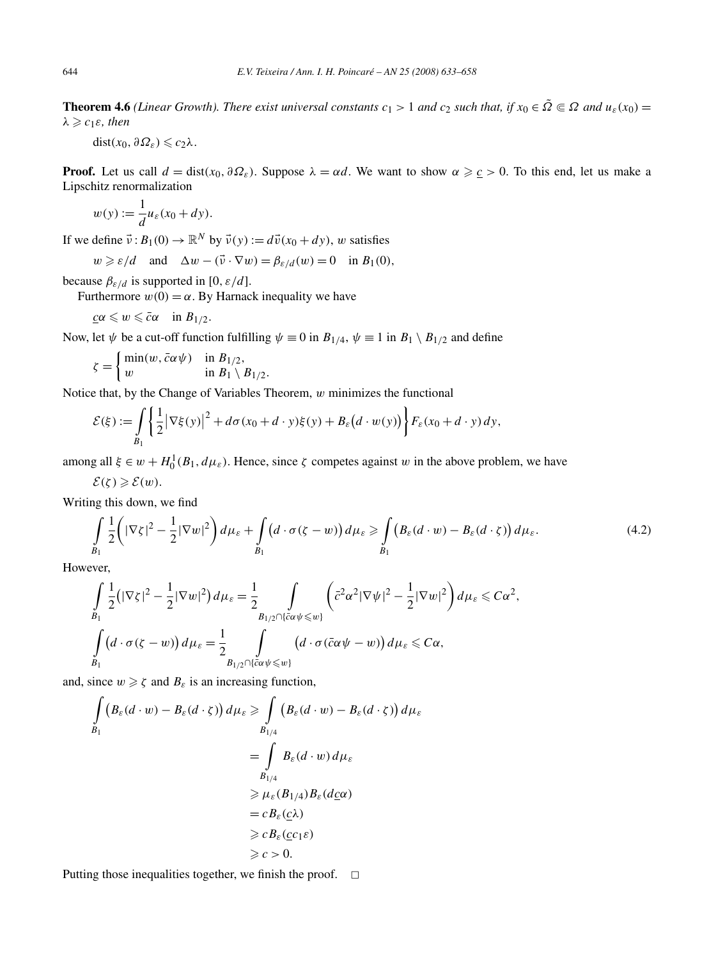**Theorem 4.6** *(Linear Growth). There exist universal constants*  $c_1 > 1$  *and*  $c_2$  *such that, if*  $x_0 \in \tilde{\Omega} \subseteq \Omega$  *and*  $u_{\varepsilon}(x_0) =$  $λ ≥ c<sub>1</sub>ε$ *, then* 

 $dist(x_0, \partial \Omega_{\varepsilon}) \leqslant c_2 \lambda$ .

**Proof.** Let us call  $d = \text{dist}(x_0, \partial \Omega_\varepsilon)$ . Suppose  $\lambda = \alpha d$ . We want to show  $\alpha \geq \varepsilon > 0$ . To this end, let us make a Lipschitz renormalization

$$
w(y) := \frac{1}{d}u_{\varepsilon}(x_0 + dy).
$$

If we define  $\vec{v}$  :  $B_1(0) \rightarrow \mathbb{R}^N$  by  $\vec{v}(y) := d\vec{v}(x_0 + dy)$ , *w* satisfies

 $w \ge \varepsilon/d$  and  $\Delta w - (\vec{v} \cdot \nabla w) = \beta_{\varepsilon/d}(w) = 0$  in  $B_1(0)$ ,

because  $\beta_{\varepsilon/d}$  is supported in [0*, ε/d*].

Furthermore  $w(0) = \alpha$ . By Harnack inequality we have

$$
\underline{c}\alpha\leqslant w\leqslant \bar{c}\alpha\quad\text{in }B_{1/2}.
$$

Now, let  $\psi$  be a cut-off function fulfilling  $\psi \equiv 0$  in  $B_{1/4}$ ,  $\psi \equiv 1$  in  $B_1 \setminus B_{1/2}$  and define

$$
\zeta = \begin{cases} \min(w, \bar{c}\alpha\psi) & \text{in } B_{1/2}, \\ w & \text{in } B_1 \setminus B_{1/2}. \end{cases}
$$

Notice that, by the Change of Variables Theorem, *w* minimizes the functional

$$
\mathcal{E}(\xi) := \int\limits_{B_1} \left\{ \frac{1}{2} \left| \nabla \xi(y) \right|^2 + d\sigma(x_0 + d \cdot y) \xi(y) + B_{\varepsilon}\big(d \cdot w(y)\big) \right\} F_{\varepsilon}(x_0 + d \cdot y) dy,
$$

among all  $\xi \in w + H_0^1(B_1, d\mu_\varepsilon)$ . Hence, since  $\zeta$  competes against *w* in the above problem, we have

$$
\mathcal{E}(\zeta)\geqslant \mathcal{E}(w).
$$

Writing this down, we find

$$
\int_{B_1} \frac{1}{2} \left( |\nabla \zeta|^2 - \frac{1}{2} |\nabla w|^2 \right) d\mu_{\varepsilon} + \int_{B_1} \left( d \cdot \sigma(\zeta - w) \right) d\mu_{\varepsilon} \ge \int_{B_1} \left( B_{\varepsilon}(d \cdot w) - B_{\varepsilon}(d \cdot \zeta) \right) d\mu_{\varepsilon}.
$$
\n(4.2)

However,

$$
\int_{B_1} \frac{1}{2} \left( |\nabla \zeta|^2 - \frac{1}{2} |\nabla w|^2 \right) d\mu_{\varepsilon} = \frac{1}{2} \int_{B_{1/2} \cap \{\bar{c}\alpha\psi \leq w\}} \left( \bar{c}^2 \alpha^2 |\nabla \psi|^2 - \frac{1}{2} |\nabla w|^2 \right) d\mu_{\varepsilon} \leq C\alpha^2,
$$
\n
$$
\int_{B_1} \left( d \cdot \sigma(\zeta - w) \right) d\mu_{\varepsilon} = \frac{1}{2} \int_{B_{1/2} \cap \{\bar{c}\alpha\psi \leq w\}} \left( d \cdot \sigma(\bar{c}\alpha\psi - w) \right) d\mu_{\varepsilon} \leq C\alpha,
$$

and, since  $w \ge \zeta$  and  $B_{\varepsilon}$  is an increasing function,

$$
\int_{B_1} (B_{\varepsilon}(d \cdot w) - B_{\varepsilon}(d \cdot \zeta)) d\mu_{\varepsilon} \ge \int_{B_{1/4}} (B_{\varepsilon}(d \cdot w) - B_{\varepsilon}(d \cdot \zeta)) d\mu_{\varepsilon}
$$
\n
$$
= \int_{B_{1/4}} B_{\varepsilon}(d \cdot w) d\mu_{\varepsilon}
$$
\n
$$
\ge \mu_{\varepsilon}(B_{1/4}) B_{\varepsilon}(d\underline{c}\alpha)
$$
\n
$$
= c B_{\varepsilon}(\underline{c}\lambda)
$$
\n
$$
\ge c B_{\varepsilon}(c_1 \varepsilon)
$$

Putting those inequalities together, we finish the proof.  $\Box$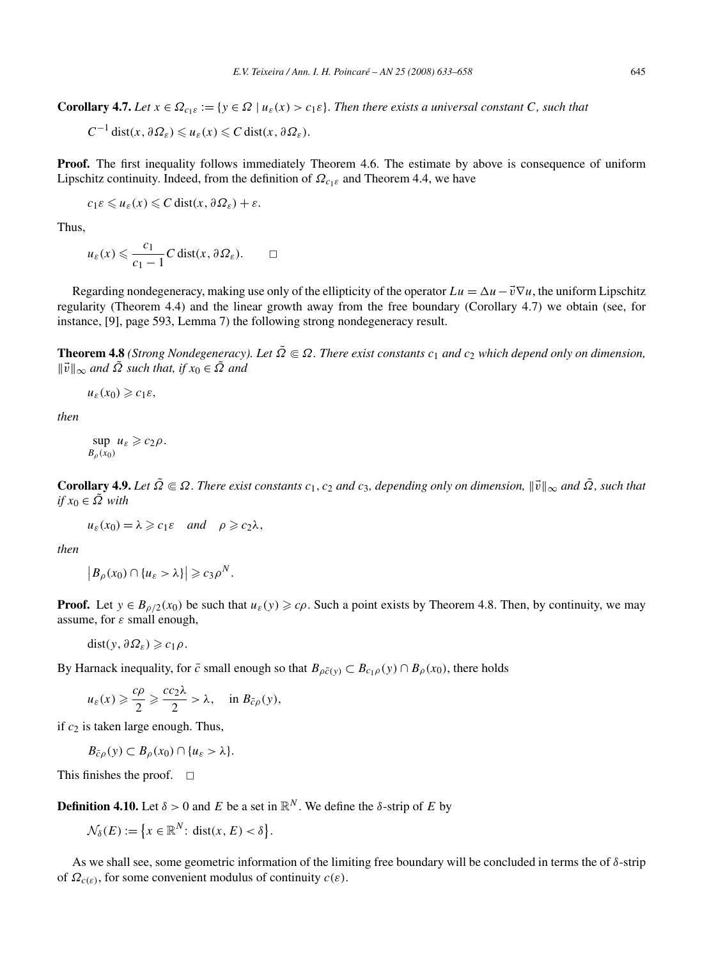**Corollary 4.7.** *Let*  $x \in \Omega_{c_1\epsilon} := \{y \in \Omega \mid u_{\epsilon}(x) > c_1\epsilon\}$ . Then there exists a universal constant C, such that

$$
C^{-1} dist(x, \partial \Omega_{\varepsilon}) \leq u_{\varepsilon}(x) \leq C dist(x, \partial \Omega_{\varepsilon}).
$$

**Proof.** The first inequality follows immediately Theorem 4.6. The estimate by above is consequence of uniform Lipschitz continuity. Indeed, from the definition of  $\Omega_{c_1\epsilon}$  and Theorem 4.4, we have

$$
c_1\varepsilon \leqslant u_\varepsilon(x) \leqslant C \operatorname{dist}(x, \partial \Omega_\varepsilon) + \varepsilon.
$$

Thus,

$$
u_{\varepsilon}(x) \leqslant \frac{c_1}{c_1 - 1} C \operatorname{dist}(x, \partial \Omega_{\varepsilon}).
$$

Regarding nondegeneracy, making use only of the ellipticity of the operator  $Lu = \Delta u - \vec{v} \nabla u$ , the uniform Lipschitz regularity (Theorem 4.4) and the linear growth away from the free boundary (Corollary 4.7) we obtain (see, for instance, [9], page 593, Lemma 7) the following strong nondegeneracy result.

**Theorem 4.8** *(Strong Nondegeneracy). Let*  $\tilde{\Omega} \in \Omega$ *. There exist constants*  $c_1$  *and*  $c_2$  *which depend only on dimension,*  $\|\vec{v}\|_{\infty}$  *and*  $\tilde{\Omega}$  *such that, if*  $x_0 \in \tilde{\Omega}$  *and* 

 $u_{\varepsilon}(x_0) \geqslant c_1 \varepsilon$ ,

*then*

$$
\sup_{B_{\rho}(x_0)} u_{\varepsilon} \geqslant c_2 \rho.
$$

**Corollary 4.9.** *Let*  $\tilde{\Omega} \subseteq \Omega$ . There exist constants  $c_1, c_2$  and  $c_3$ , depending only on dimension,  $\|\vec{v}\|_{\infty}$  and  $\tilde{\Omega}$ , such that  $if x_0 ∈ \tilde{Ω}$  *with* 

 $u_{\varepsilon}(x_0) = \lambda \geq c_1 \varepsilon$  *and*  $\rho \geq c_2 \lambda$ ,

*then*

$$
\left|B_{\rho}(x_0)\cap\{u_{\varepsilon}>\lambda\}\right|\geqslant c_3\rho^N.
$$

**Proof.** Let  $y \in B_{\rho/2}(x_0)$  be such that  $u_{\varepsilon}(y) \geq c\rho$ . Such a point exists by Theorem 4.8. Then, by continuity, we may assume, for *ε* small enough,

 $dist(y, \partial \Omega_{\varepsilon}) \geqslant c_1 \rho$ .

By Harnack inequality, for  $\bar{c}$  small enough so that  $B_{\rho\bar{c}(y)} \subset B_{c_1\rho}(y) \cap B_{\rho}(x_0)$ , there holds

$$
u_{\varepsilon}(x) \geq \frac{c\rho}{2} \geq \frac{cc_2\lambda}{2} > \lambda, \text{ in } B_{\bar{c}\rho}(y),
$$

if *c*<sup>2</sup> is taken large enough. Thus,

$$
B_{\bar{c}\rho}(y) \subset B_{\rho}(x_0) \cap \{u_{\varepsilon} > \lambda\}.
$$

This finishes the proof.  $\Box$ 

**Definition 4.10.** Let  $\delta > 0$  and *E* be a set in  $\mathbb{R}^N$ . We define the  $\delta$ -strip of *E* by

$$
\mathcal{N}_{\delta}(E) := \left\{ x \in \mathbb{R}^N : \operatorname{dist}(x, E) < \delta \right\}.
$$

As we shall see, some geometric information of the limiting free boundary will be concluded in terms the of *δ*-strip of  $\Omega_{c(\varepsilon)}$ , for some convenient modulus of continuity  $c(\varepsilon)$ .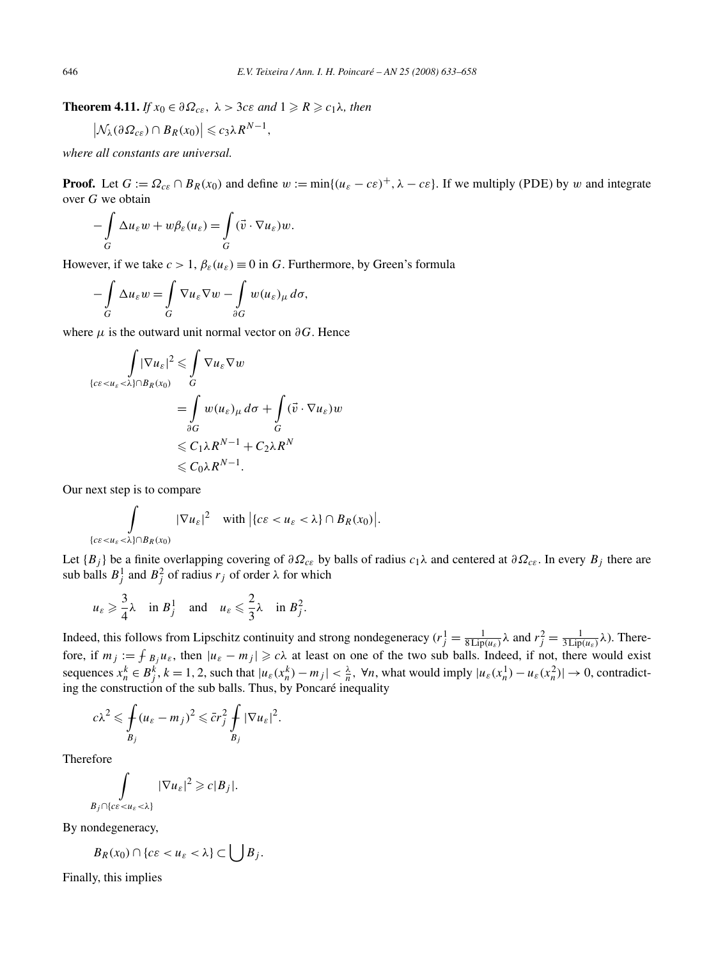**Theorem 4.11.** *If*  $x_0 \in \partial \Omega_{ce}$ ,  $\lambda > 3ce$  *and*  $1 \ge R \ge c_1 \lambda$ *, then* 

$$
\left|\mathcal{N}_{\lambda}(\partial\Omega_{ce})\cap B_{R}(x_0)\right|\leqslant c_3\lambda R^{N-1},
$$

*where all constants are universal.*

**Proof.** Let  $G := \Omega_{c\epsilon} \cap B_R(x_0)$  and define  $w := \min\{(u_{\epsilon} - c\epsilon)^+, \lambda - c\epsilon\}$ . If we multiply (PDE) by *w* and integrate over *G* we obtain

$$
-\int\limits_G \Delta u_\varepsilon w + w\beta_\varepsilon(u_\varepsilon) = \int\limits_G (\vec{v} \cdot \nabla u_\varepsilon) w.
$$

However, if we take  $c > 1$ ,  $\beta_{\varepsilon}(u_{\varepsilon}) \equiv 0$  in *G*. Furthermore, by Green's formula

$$
-\int\limits_G \Delta u_\varepsilon w = \int\limits_G \nabla u_\varepsilon \nabla w - \int\limits_{\partial G} w (u_\varepsilon)_\mu d\sigma,
$$

where  $\mu$  is the outward unit normal vector on  $\partial G$ . Hence

$$
\int |\nabla u_{\varepsilon}|^2 \leq \int_{G} \nabla u_{\varepsilon} \nabla w
$$
\n
$$
\{c\varepsilon < u_{\varepsilon} < \lambda\} \cap B_{R}(x_{0})
$$
\n
$$
= \int_{\partial G} w(u_{\varepsilon})_{\mu} d\sigma + \int_{G} (\vec{v} \cdot \nabla u_{\varepsilon}) w
$$
\n
$$
\leq C_{1} \lambda R^{N-1} + C_{2} \lambda R^{N}
$$
\n
$$
\leq C_{0} \lambda R^{N-1}.
$$

Our next step is to compare

$$
\int_{\{c\epsilon < u_{\epsilon} < \lambda\} \cap B_R(x_0)} |\nabla u_{\epsilon}|^2 \quad \text{with } \left| \{c\epsilon < u_{\epsilon} < \lambda\} \cap B_R(x_0) \right|.
$$

Let  ${B_i}$  be a finite overlapping covering of  $\partial \Omega_{ce}$  by balls of radius  $c_1\lambda$  and centered at  $\partial \Omega_{ce}$ . In every  $B_i$  there are sub balls  $B_j^1$  and  $B_j^2$  of radius  $r_j$  of order  $\lambda$  for which

$$
u_{\varepsilon} \geq \frac{3}{4}\lambda
$$
 in  $B_j^1$  and  $u_{\varepsilon} \leq \frac{2}{3}\lambda$  in  $B_j^2$ .

Indeed, this follows from Lipschitz continuity and strong nondegeneracy ( $r_j^1 = \frac{1}{8 \text{Lip}(u_{\varepsilon})}$ λ and  $r_j^2 = \frac{1}{3 \text{Lip}(u_{\varepsilon})}$ λ). Therefore, if  $m_j := \int B_j u_\varepsilon$ , then  $|u_\varepsilon - m_j| \geq c\lambda$  at least on one of the two sub balls. Indeed, if not, there would exist sequences  $x_n^k \in B_j^k$ ,  $k = 1, 2$ , such that  $|u_\varepsilon(x_n^k) - m_j| < \frac{\lambda}{n}$ ,  $\forall n$ , what would imply  $|u_\varepsilon(x_n^1) - u_\varepsilon(x_n^2)| \to 0$ , contradicting the construction of the sub balls. Thus, by Poncaré inequality

$$
c\lambda^2 \leq \oint_{B_j} (u_{\varepsilon} - m_j)^2 \leqslant \bar{c}r_j^2 \int_{B_j} |\nabla u_{\varepsilon}|^2.
$$

Therefore

$$
\int_{B_j \cap \{c\epsilon < u_\varepsilon < \lambda\}} |\nabla u_\varepsilon|^2 \geqslant c|B_j|.
$$

By nondegeneracy,

$$
B_R(x_0)\cap\{c\varepsilon
$$

Finally, this implies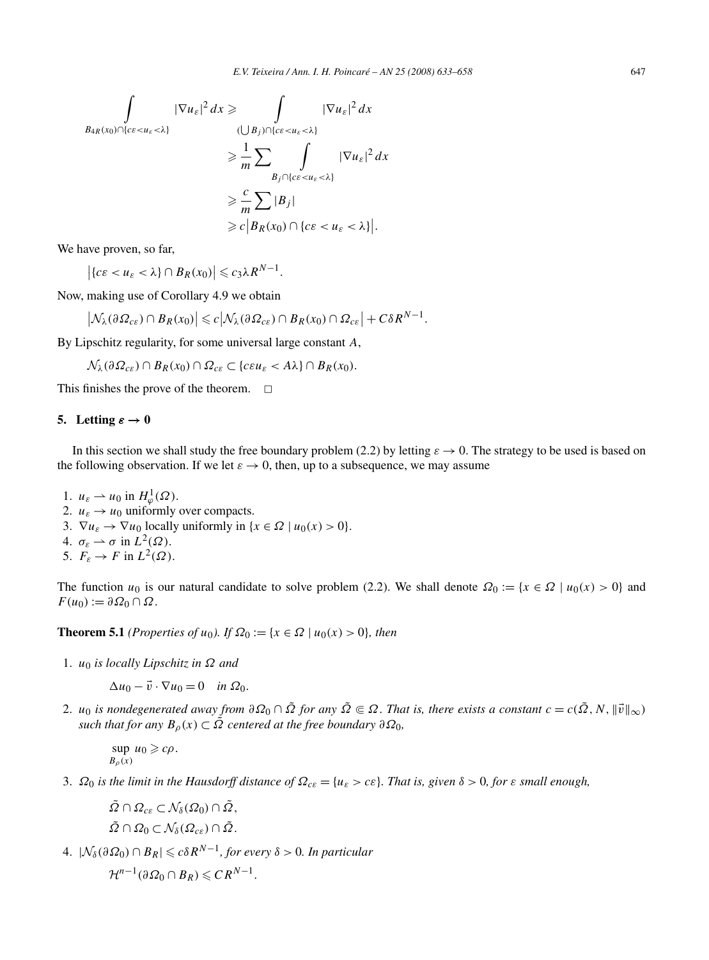$$
\int_{B_{4R}(x_0)\cap\{c\varepsilon  

$$
\geq \frac{1}{m} \sum_{B_j\cap\{c\varepsilon  

$$
\geq \frac{c}{m} \sum |B_j|
$$
  

$$
\geq c |B_R(x_0) \cap \{c\varepsilon < u_{\varepsilon}<\lambda\}|.
$$
$$
$$

We have proven, so far,

 $\left| \{ c \varepsilon < u_{\varepsilon} < \lambda \} \cap B_R(x_0) \right| \leqslant c_3 \lambda R^{N-1}.$ 

Now, making use of Corollary 4.9 we obtain

$$
\left|\mathcal{N}_{\lambda}(\partial\Omega_{ce})\cap B_{R}(x_0)\right|\leqslant c\left|\mathcal{N}_{\lambda}(\partial\Omega_{ce})\cap B_{R}(x_0)\cap \Omega_{ce}\right|+C\delta R^{N-1}.
$$

By Lipschitz regularity, for some universal large constant *A*,

 $\mathcal{N}_{\lambda}(\partial \Omega_{c\epsilon}) \cap B_R(x_0) \cap \Omega_{c\epsilon} \subset \{c \epsilon u_{\epsilon} < A\lambda\} \cap B_R(x_0).$ 

This finishes the prove of the theorem.  $\Box$ 

## **5.** Letting  $\varepsilon \to 0$

In this section we shall study the free boundary problem (2.2) by letting  $\varepsilon \to 0$ . The strategy to be used is based on the following observation. If we let  $\varepsilon \to 0$ , then, up to a subsequence, we may assume

- 1.  $u_{\varepsilon} \rightharpoonup u_0$  in  $H^1_{\varphi}(\Omega)$ . 2.  $u_{\varepsilon} \rightarrow u_0$  uniformly over compacts. 3.  $\nabla u_{\varepsilon} \to \nabla u_0$  locally uniformly in  $\{x \in \Omega \mid u_0(x) > 0\}.$ 4.  $\sigma_{\varepsilon} \rightharpoonup \sigma$  in  $\tilde{L}^2(\Omega)$ .
- 5.  $F_{\varepsilon} \to F$  in  $L^2(\Omega)$ .

The function *u*<sub>0</sub> is our natural candidate to solve problem (2.2). We shall denote  $\Omega_0 := \{x \in \Omega \mid u_0(x) > 0\}$  and  $F(u_0) := \partial \Omega_0 \cap \Omega$ .

**Theorem 5.1** *(Properties of u<sub>0</sub>). If*  $\Omega_0 := \{x \in \Omega \mid u_0(x) > 0\}$ *, then* 

1. *u*<sup>0</sup> *is locally Lipschitz in Ω and*

 $\Delta u_0 - \vec{v} \cdot \nabla u_0 = 0$  *in*  $\Omega_0$ *.* 

2. *u*<sub>0</sub> *is nondegenerated away from*  $\partial \Omega_0 \cap \tilde{\Omega}$  *for any*  $\tilde{\Omega} \in \Omega$ . That is, there exists a constant  $c = c(\tilde{\Omega}, N, ||\vec{v}||_{\infty})$ *such that for any*  $B_{\rho}(x) \subset \overline{\Omega}$  *centered at the free boundary*  $\partial \Omega_0$ *,* 

$$
\sup_{B_{\rho}(x)} u_0 \geqslant c\rho.
$$

3. *Ω*<sup>0</sup> *is the limit in the Hausdorff distance of Ωcε* = {*uε > cε*}*. That is, given δ >* 0*, for ε small enough,*

 $\tilde{\Omega} \cap \Omega_{c\epsilon} \subset \mathcal{N}_{\delta}(\Omega_0) \cap \tilde{\Omega},$  $\tilde{\Omega} \cap \Omega_0 \subset \mathcal{N}_{\delta}(\Omega_{cs}) \cap \tilde{\Omega}.$ 

 $4. \ |\mathcal{N}_{\delta}(\partial \Omega_0) \cap B_R| \leq c \delta R^{N-1}$ , for every  $\delta > 0$ . In particular

$$
\mathcal{H}^{n-1}(\partial\Omega_0\cap B_R)\leqslant CR^{N-1}.
$$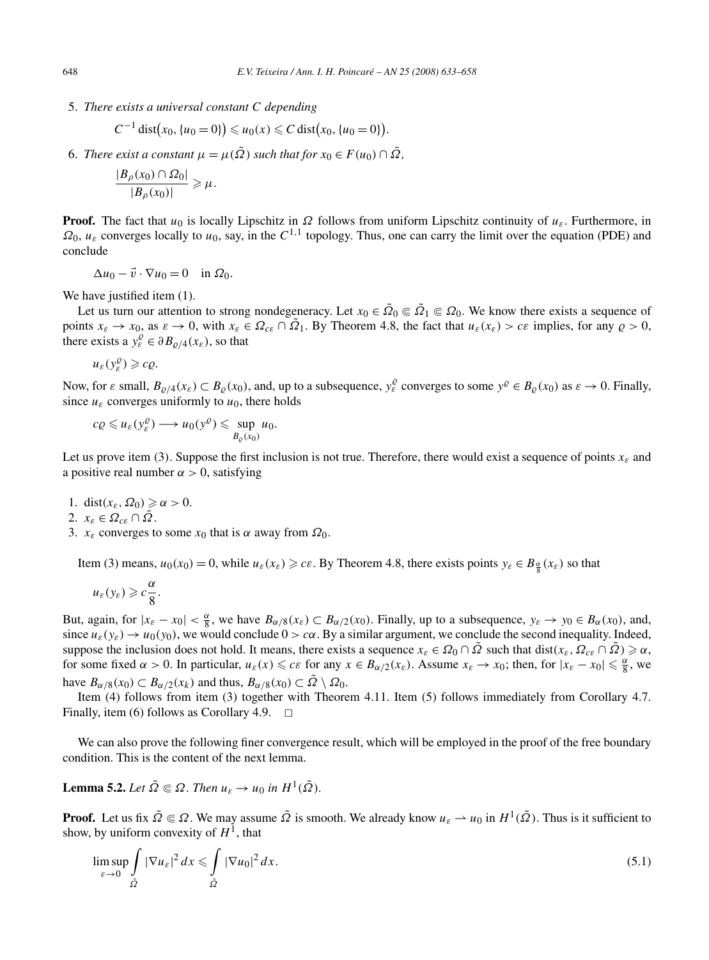5. *There exists a universal constant C depending*

$$
C^{-1} dist(x_0, \{u_0 = 0\}) \leq u_0(x) \leq C dist(x_0, \{u_0 = 0\}).
$$

6. *There exist a constant*  $\mu = \mu(\tilde{\Omega})$  *such that for*  $x_0 \in F(u_0) \cap \tilde{\Omega}$ ,

$$
\frac{|B_{\rho}(x_0) \cap \Omega_0|}{|B_{\rho}(x_0)|} \geq \mu.
$$

**Proof.** The fact that  $u_0$  is locally Lipschitz in  $\Omega$  follows from uniform Lipschitz continuity of  $u_{\varepsilon}$ . Furthermore, in  $\Omega_0$ ,  $u_\varepsilon$  converges locally to  $u_0$ , say, in the  $C^{1,1}$  topology. Thus, one can carry the limit over the equation (PDE) and conclude

$$
\Delta u_0 - \vec{v} \cdot \nabla u_0 = 0 \quad \text{in } \Omega_0.
$$

We have justified item (1).

Let us turn our attention to strong nondegeneracy. Let  $x_0 \in \tilde{\Omega}_0 \subseteq \tilde{\Omega}_1 \subseteq \Omega_0$ . We know there exists a sequence of points  $x_{\varepsilon} \to x_0$ , as  $\varepsilon \to 0$ , with  $x_{\varepsilon} \in \Omega_{\varepsilon \varepsilon} \cap \Omega_1$ . By Theorem 4.8, the fact that  $u_{\varepsilon}(x_{\varepsilon}) > \varepsilon \varepsilon$  implies, for any  $\rho > 0$ , there exists a  $y_{\varepsilon}^{\rho} \in \partial B_{\rho/4}(x_{\varepsilon})$ , so that

$$
u_\varepsilon(y^{\varrho}_\varepsilon)\geq c\varrho.
$$

Now, for  $\varepsilon$  small,  $B_{\varrho/4}(x_{\varepsilon}) \subset B_{\varrho}(x_0)$ , and, up to a subsequence,  $y_{\varepsilon}^{\varrho}$  converges to some  $y^{\varrho} \in B_{\varrho}(x_0)$  as  $\varepsilon \to 0$ . Finally, since  $u_{\varepsilon}$  converges uniformly to  $u_0$ , there holds

$$
c\varrho \leq u_{\varepsilon}(y_{\varepsilon}^{\varrho}) \longrightarrow u_0(y^{\varrho}) \leq \sup_{B_{\varrho}(x_0)} u_0.
$$

Let us prove item (3). Suppose the first inclusion is not true. Therefore, there would exist a sequence of points  $x_{\varepsilon}$  and a positive real number  $\alpha > 0$ , satisfying

- 1. dist $(x_{\varepsilon}, \Omega_0) \ge \alpha > 0$ .
- 2.  $x_{\varepsilon} \in \Omega_{\varepsilon\varepsilon} \cap \Omega$ .
- 3.  $x_{\varepsilon}$  converges to some  $x_0$  that is  $\alpha$  away from  $\Omega_0$ .

Item (3) means,  $u_0(x_0) = 0$ , while  $u_\varepsilon(x_\varepsilon) \geq c\varepsilon$ . By Theorem 4.8, there exists points  $y_\varepsilon \in B_{\frac{\alpha}{8}}(x_\varepsilon)$  so that

$$
u_{\varepsilon}(y_{\varepsilon})\geqslant c\frac{\alpha}{8}.
$$

But, again, for  $|x_{\varepsilon} - x_0| < \frac{\alpha}{8}$ , we have  $B_{\alpha/8}(x_{\varepsilon}) \subset B_{\alpha/2}(x_0)$ . Finally, up to a subsequence,  $y_{\varepsilon} \to y_0 \in B_{\alpha}(x_0)$ , and, since  $u_{\varepsilon}(y_{\varepsilon}) \to u_0(y_0)$ , we would conclude  $0 > c\alpha$ . By a similar argument, we conclude the second inequality. Indeed, suppose the inclusion does not hold. It means, there exists a sequence  $x_{\varepsilon} \in \Omega_0 \cap \overline{\Omega}$  such that dist $(x_{\varepsilon}, \Omega_{\varepsilon \varepsilon} \cap \overline{\Omega}) \geq \alpha$ , for some fixed  $\alpha > 0$ . In particular,  $u_{\varepsilon}(x) \leq c\varepsilon$  for any  $x \in B_{\alpha/2}(x_{\varepsilon})$ . Assume  $x_{\varepsilon} \to x_0$ ; then, for  $|x_{\varepsilon} - x_0| \leq \frac{\alpha}{8}$ , we have  $B_{\alpha/8}(x_0) \subset B_{\alpha/2}(x_k)$  and thus,  $B_{\alpha/8}(x_0) \subset \overline{\Omega} \setminus \Omega_0$ .

Item (4) follows from item (3) together with Theorem 4.11. Item (5) follows immediately from Corollary 4.7. Finally, item (6) follows as Corollary 4.9.  $\Box$ 

We can also prove the following finer convergence result, which will be employed in the proof of the free boundary condition. This is the content of the next lemma.

**Lemma 5.2.** *Let*  $\tilde{\Omega} \subseteq \Omega$ *. Then*  $u_{\varepsilon} \to u_0$  *in*  $H^1(\tilde{\Omega})$ *.* 

**Proof.** Let us fix  $\tilde{\Omega} \in \Omega$ . We may assume  $\tilde{\Omega}$  is smooth. We already know  $u_{\varepsilon} \to u_0$  in  $H^1(\tilde{\Omega})$ . Thus is it sufficient to show, by uniform convexity of  $H<sup>1</sup>$ , that

$$
\limsup_{\varepsilon \to 0} \int\limits_{\tilde{\Omega}} |\nabla u_{\varepsilon}|^2 dx \leqslant \int\limits_{\tilde{\Omega}} |\nabla u_0|^2 dx.
$$
\n(5.1)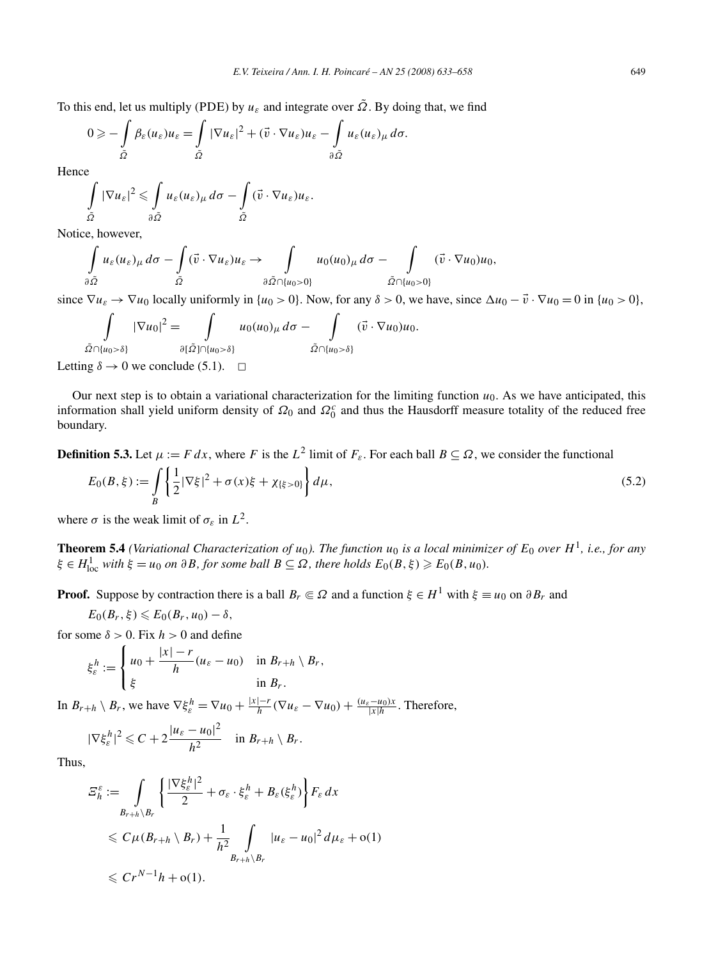To this end, let us multiply (PDE) by  $u_{\varepsilon}$  and integrate over  $\tilde{\Omega}$ . By doing that, we find

$$
0 \geqslant -\int\limits_{\tilde{\Omega}}\beta_{\varepsilon}(u_{\varepsilon})u_{\varepsilon} = \int\limits_{\tilde{\Omega}}|\nabla u_{\varepsilon}|^{2} + (\vec{v}\cdot\nabla u_{\varepsilon})u_{\varepsilon} - \int\limits_{\partial\tilde{\Omega}}u_{\varepsilon}(u_{\varepsilon})_{\mu}\,d\sigma.
$$

Hence

$$
\int\limits_{\tilde{\Omega}} |\nabla u_{\varepsilon}|^2 \leq \int\limits_{\partial \tilde{\Omega}} u_{\varepsilon}(u_{\varepsilon})_{\mu} d\sigma - \int\limits_{\tilde{\Omega}} (\vec{v} \cdot \nabla u_{\varepsilon}) u_{\varepsilon}.
$$

Notice, however,

$$
\int\limits_{\partial \tilde{\Omega}} u_{\varepsilon}(u_{\varepsilon})_{\mu} d\sigma - \int\limits_{\tilde{\Omega}} (\vec{v} \cdot \nabla u_{\varepsilon}) u_{\varepsilon} \to \int\limits_{\partial \tilde{\Omega} \cap \{u_0 > 0\}} u_0(u_0)_{\mu} d\sigma - \int\limits_{\tilde{\Omega} \cap \{u_0 > 0\}} (\vec{v} \cdot \nabla u_0) u_0,
$$

since  $\nabla u_{\varepsilon} \to \nabla u_0$  locally uniformly in  $\{u_0 > 0\}$ . Now, for any  $\delta > 0$ , we have, since  $\Delta u_0 - \vec{v} \cdot \nabla u_0 = 0$  in  $\{u_0 > 0\}$ ,

$$
\int_{\tilde{\Omega}\cap\{u_0>\delta\}} |\nabla u_0|^2 = \int_{\partial[\tilde{\Omega}]\cap\{u_0>\delta\}} u_0(u_0)_{\mu} d\sigma - \int_{\tilde{\Omega}\cap\{u_0>\delta\}} (\vec{v} \cdot \nabla u_0) u_0.
$$
  
ang  $\delta \to 0$  we conclude (5.1).  $\square$ 

Letting

Our next step is to obtain a variational characterization for the limiting function  $u_0$ . As we have anticipated, this information shall yield uniform density of  $\Omega_0$  and  $\Omega_0^c$  and thus the Hausdorff measure totality of the reduced free boundary.

**Definition 5.3.** Let  $\mu := F dx$ , where *F* is the  $L^2$  limit of  $F_s$ . For each ball  $B \subseteq \Omega$ , we consider the functional

$$
E_0(B,\xi) := \int\limits_B \left\{ \frac{1}{2} |\nabla \xi|^2 + \sigma(x)\xi + \chi_{\{\xi > 0\}} \right\} d\mu,
$$
\n(5.2)

where  $\sigma$  is the weak limit of  $\sigma_{\varepsilon}$  in  $L^2$ .

**Theorem 5.4** *(Variational Characterization of*  $u_0$ *). The function*  $u_0$  *is a local minimizer of*  $E_0$  *over*  $H^1$ *, i.e., for any*  $\xi \in H_{\text{loc}}^1$  *with*  $\xi = u_0$  *on*  $\partial B$ *, for some ball*  $B \subseteq \Omega$ *, there holds*  $E_0(B, \xi) \geqslant E_0(B, u_0)$ *.* 

**Proof.** Suppose by contraction there is a ball  $B_r \\\in \Omega$  and a function  $\xi \\in H^1$  with  $\xi \\equiv u_0$  on  $\partial B_r$  and

$$
E_0(B_r,\xi)\leqslant E_0(B_r,u_0)-\delta,
$$

for some  $\delta > 0$ . Fix  $h > 0$  and define

$$
\xi_{\varepsilon}^{h} := \begin{cases} u_0 + \frac{|x| - r}{h} (u_{\varepsilon} - u_0) & \text{in } B_{r+h} \setminus B_r, \\ \xi & \text{in } B_r. \end{cases}
$$

In  $B_{r+h} \setminus B_r$ , we have  $\nabla \xi_{\varepsilon}^h = \nabla u_0 + \frac{|x| - r}{h} (\nabla u_{\varepsilon} - \nabla u_0) + \frac{(u_{\varepsilon} - u_0)x}{|x|h}$ . Therefore,

$$
|\nabla \xi_{\varepsilon}^h|^2 \leqslant C + 2\frac{|u_{\varepsilon}-u_0|^2}{h^2} \quad \text{in } B_{r+h} \setminus B_r.
$$

Thus,

$$
\begin{split} \varXi_{h}^{\varepsilon} &:= \int\limits_{B_{r+h}\setminus B_r} \left\{ \frac{|\nabla \xi_{\varepsilon}^{h}|^2}{2} + \sigma_{\varepsilon} \cdot \xi_{\varepsilon}^{h} + B_{\varepsilon}(\xi_{\varepsilon}^{h}) \right\} F_{\varepsilon} \, dx \\ &\leqslant C \mu(B_{r+h}\setminus B_r) + \frac{1}{h^2} \int\limits_{B_{r+h}\setminus B_r} |u_{\varepsilon} - u_0|^2 \, d\mu_{\varepsilon} + o(1) \\ &\leqslant Cr^{N-1}h + o(1). \end{split}
$$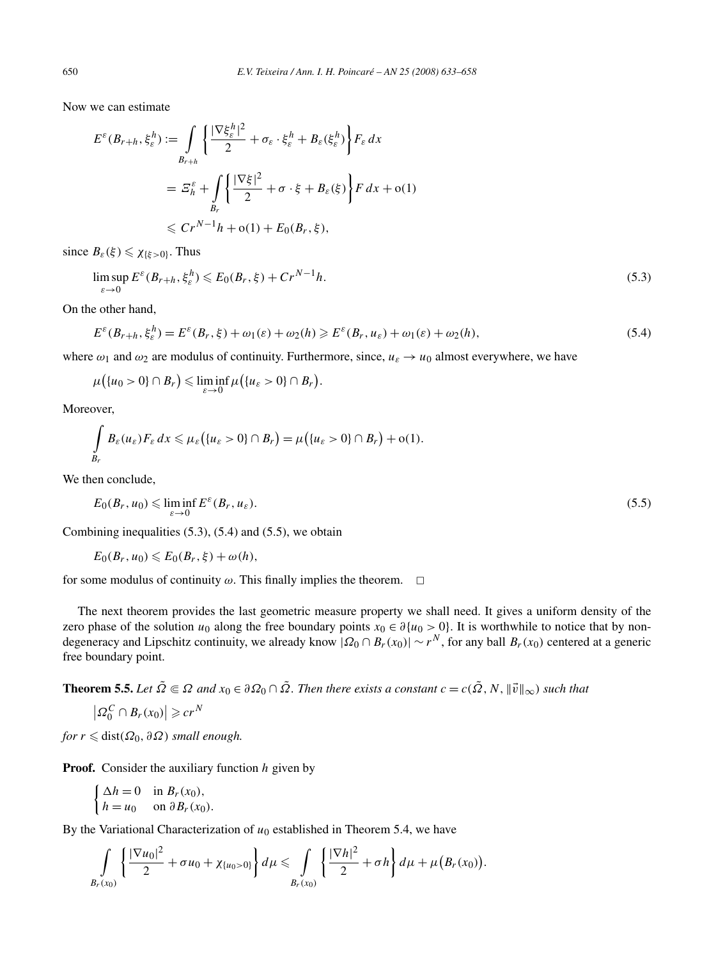Now we can estimate

$$
E^{\varepsilon}(B_{r+h}, \xi_{\varepsilon}^{h}) := \int\limits_{B_{r+h}} \left\{ \frac{|\nabla \xi_{\varepsilon}^{h}|^2}{2} + \sigma_{\varepsilon} \cdot \xi_{\varepsilon}^{h} + B_{\varepsilon}(\xi_{\varepsilon}^{h}) \right\} F_{\varepsilon} dx
$$
  

$$
= \mathcal{E}_{h}^{\varepsilon} + \int\limits_{B_{r}} \left\{ \frac{|\nabla \xi|^{2}}{2} + \sigma \cdot \xi + B_{\varepsilon}(\xi) \right\} F dx + o(1)
$$
  

$$
\leq C r^{N-1} h + o(1) + E_{0}(B_{r}, \xi),
$$

since  $B_{\varepsilon}(\xi) \leq \chi_{\{\xi>0\}}$ . Thus

$$
\limsup_{\varepsilon \to 0} E^{\varepsilon} (B_{r+h}, \xi_{\varepsilon}^h) \leqslant E_0(B_r, \xi) + Cr^{N-1}h. \tag{5.3}
$$

On the other hand,

$$
E^{\varepsilon}(B_{r+h}, \xi_{\varepsilon}^{h}) = E^{\varepsilon}(B_{r}, \xi) + \omega_{1}(\varepsilon) + \omega_{2}(h) \ge E^{\varepsilon}(B_{r}, u_{\varepsilon}) + \omega_{1}(\varepsilon) + \omega_{2}(h),
$$
\n(5.4)

where  $\omega_1$  and  $\omega_2$  are modulus of continuity. Furthermore, since,  $u_{\varepsilon} \to u_0$  almost everywhere, we have

$$
\mu\big(\{u_0>0\}\cap B_r\big)\leqslant \liminf_{\varepsilon\to 0}\mu\big(\{u_{\varepsilon}>0\}\cap B_r\big).
$$

Moreover,

$$
\int\limits_{B_r} B_{\varepsilon}(u_{\varepsilon}) F_{\varepsilon} dx \leq \mu_{\varepsilon} (\{u_{\varepsilon} > 0\} \cap B_r) = \mu (\{u_{\varepsilon} > 0\} \cap B_r) + o(1).
$$

We then conclude,

$$
E_0(B_r, u_0) \leqslant \liminf_{\varepsilon \to 0} E^{\varepsilon}(B_r, u_{\varepsilon}).
$$
\n
$$
(5.5)
$$

Combining inequalities (5.3), (5.4) and (5.5), we obtain

$$
E_0(B_r, u_0) \leqslant E_0(B_r, \xi) + \omega(h),
$$

for some modulus of continuity  $\omega$ . This finally implies the theorem.  $\Box$ 

The next theorem provides the last geometric measure property we shall need. It gives a uniform density of the zero phase of the solution  $u_0$  along the free boundary points  $x_0 \in \partial \{u_0 > 0\}$ . It is worthwhile to notice that by nondegeneracy and Lipschitz continuity, we already know  $|\Omega_0 \cap B_r(x_0)| \sim r^N$ , for any ball  $B_r(x_0)$  centered at a generic free boundary point.

**Theorem 5.5.** *Let*  $\tilde{\Omega} \subseteq \Omega$  *and*  $x_0 \in \partial \Omega_0 \cap \tilde{\Omega}$ *. Then there exists a constant*  $c = c(\tilde{\Omega}, N, ||\vec{v}||_{\infty})$  *such that* 

$$
\left|\varOmega_0^C\cap B_r(x_0)\right|\geqslant cr^N
$$

 $for r \leq \text{dist}(\Omega_0, \partial \Omega)$  *small enough.* 

**Proof.** Consider the auxiliary function *h* given by

$$
\begin{cases} \Delta h = 0 & \text{in } B_r(x_0), \\ h = u_0 & \text{on } \partial B_r(x_0). \end{cases}
$$

By the Variational Characterization of  $u_0$  established in Theorem 5.4, we have

$$
\int_{B_r(x_0)}\left\{\frac{|\nabla u_0|^2}{2}+\sigma u_0+\chi_{\{u_0>0\}}\right\}d\mu\leq \int_{B_r(x_0)}\left\{\frac{|\nabla h|^2}{2}+\sigma h\right\}d\mu+\mu\big(B_r(x_0)\big).
$$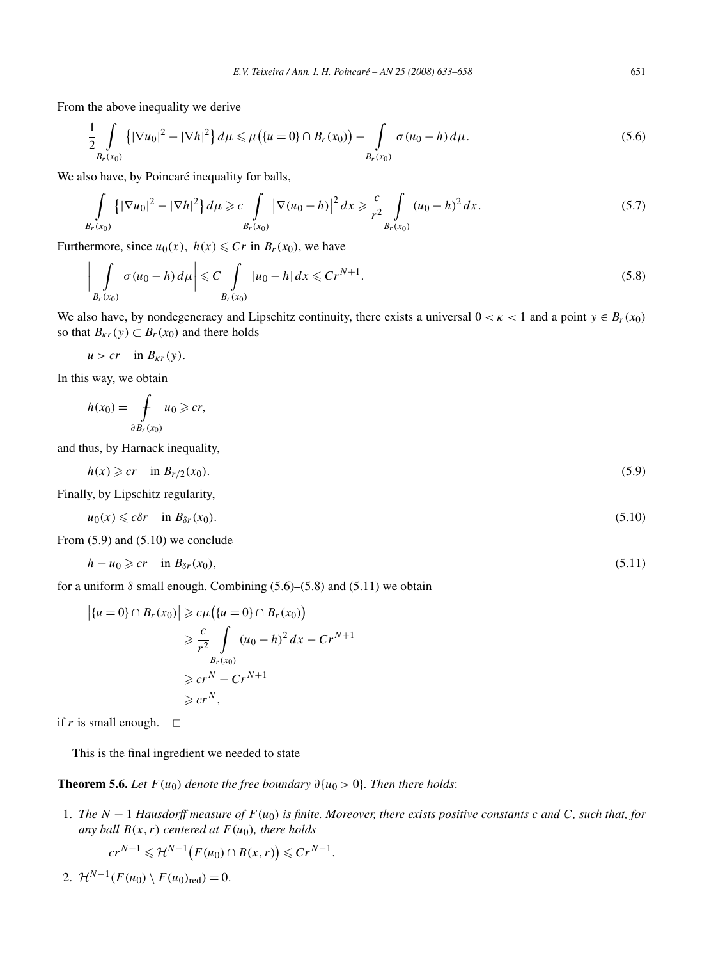From the above inequality we derive

$$
\frac{1}{2} \int\limits_{B_r(x_0)} \left\{ |\nabla u_0|^2 - |\nabla h|^2 \right\} d\mu \leq \mu \left( \{ u = 0 \} \cap B_r(x_0) \right) - \int\limits_{B_r(x_0)} \sigma(u_0 - h) d\mu. \tag{5.6}
$$

We also have, by Poincaré inequality for balls,

$$
\int_{B_r(x_0)} {\{|\nabla u_0|^2 - |\nabla h|^2\} d\mu \geq c \int_{B_r(x_0)} |\nabla (u_0 - h)|^2 dx \geq \frac{c}{r^2} \int_{B_r(x_0)} (u_0 - h)^2 dx. \tag{5.7}
$$

Furthermore, since  $u_0(x)$ ,  $h(x) \leq Cr$  in  $B_r(x_0)$ , we have

$$
\left| \int\limits_{B_r(x_0)} \sigma(u_0 - h) d\mu \right| \leqslant C \int\limits_{B_r(x_0)} |u_0 - h| dx \leqslant Cr^{N+1}.
$$
\n
$$
(5.8)
$$

We also have, by nondegeneracy and Lipschitz continuity, there exists a universal  $0 < \kappa < 1$  and a point  $y \in B_r(x_0)$ so that  $B_{\kappa r}(y) \subset B_r(x_0)$  and there holds

$$
u > cr \quad \text{in } B_{\kappa r}(y).
$$

In this way, we obtain

$$
h(x_0) = \int\limits_{\partial B_r(x_0)} u_0 \geqslant cr,
$$

and thus, by Harnack inequality,

$$
h(x) \geqslant cr \quad \text{in } B_{r/2}(x_0). \tag{5.9}
$$

Finally, by Lipschitz regularity,

$$
u_0(x) \leq c\delta r \quad \text{in } B_{\delta r}(x_0). \tag{5.10}
$$

From (5.9) and (5.10) we conclude

$$
h - u_0 \geqslant cr \quad \text{in } B_{\delta r}(x_0), \tag{5.11}
$$

for a uniform  $\delta$  small enough. Combining (5.6)–(5.8) and (5.11) we obtain

$$
\left| \{ u = 0 \} \cap B_r(x_0) \right| \geqslant c \mu \left( \{ u = 0 \} \cap B_r(x_0) \right)
$$
  
\n
$$
\geqslant \frac{c}{r^2} \int\limits_{B_r(x_0)} (u_0 - h)^2 dx - Cr^{N+1}
$$
  
\n
$$
\geqslant cr^N - Cr^{N+1}
$$
  
\n
$$
\geqslant cr^N,
$$

if *r* is small enough.  $\Box$ 

This is the final ingredient we needed to state

**Theorem 5.6.** *Let*  $F(u_0)$  *denote the free boundary*  $\partial\{u_0 > 0\}$ *. Then there holds:* 

1. *The N* − 1 *Hausdorff measure of F(u*0*) is finite. Moreover, there exists positive constants c and C, such that, for any ball*  $B(x, r)$  *centered at*  $F(u_0)$ *, there holds* 

$$
cr^{N-1}\leqslant \mathcal{H}^{N-1}\bigl(F(u_0)\cap B(x,r)\bigr)\leqslant Cr^{N-1}.
$$

2. 
$$
\mathcal{H}^{N-1}(F(u_0) \setminus F(u_0)_{\text{red}}) = 0.
$$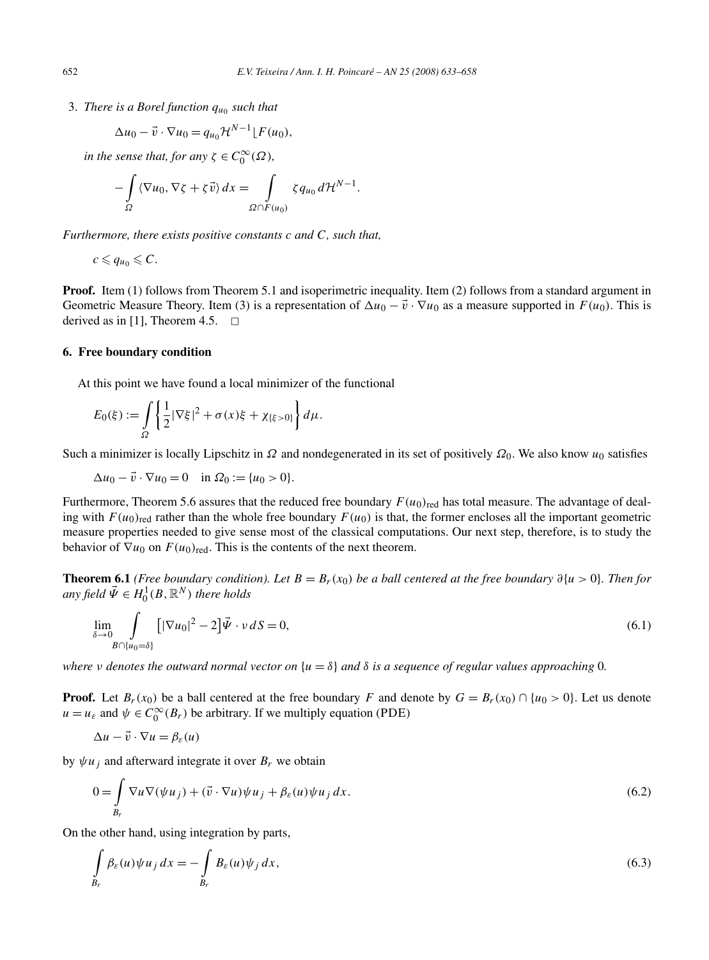3. *There is a Borel function*  $q_{u_0}$  *such that* 

$$
\Delta u_0 - \vec{v} \cdot \nabla u_0 = q_{u_0} \mathcal{H}^{N-1} \lfloor F(u_0),
$$

*in the sense that, for any*  $\zeta \in C_0^{\infty}(\Omega)$ *,* 

$$
-\int_{\Omega} \langle \nabla u_0, \nabla \zeta + \zeta \vec{v} \rangle dx = \int_{\Omega \cap F(u_0)} \zeta q_{u_0} d\mathcal{H}^{N-1}.
$$

*Furthermore, there exists positive constants c and C, such that,*

$$
c\leqslant q_{u_0}\leqslant C.
$$

**Proof.** Item (1) follows from Theorem 5.1 and isoperimetric inequality. Item (2) follows from a standard argument in Geometric Measure Theory. Item (3) is a representation of  $\Delta u_0 - \vec{v} \cdot \nabla u_0$  as a measure supported in  $F(u_0)$ . This is derived as in [1], Theorem 4.5.  $\Box$ 

## **6. Free boundary condition**

At this point we have found a local minimizer of the functional

$$
E_0(\xi) := \int_{\Omega} \left\{ \frac{1}{2} |\nabla \xi|^2 + \sigma(x) \xi + \chi_{\{\xi > 0\}} \right\} d\mu.
$$

Such a minimizer is locally Lipschitz in *Ω* and nondegenerated in its set of positively  $Ω_0$ . We also know  $u_0$  satisfies

 $\Delta u_0 - \vec{v} \cdot \nabla u_0 = 0$  in  $\Omega_0 := \{u_0 > 0\}.$ 

Furthermore, Theorem 5.6 assures that the reduced free boundary  $F(u_0)_{\text{red}}$  has total measure. The advantage of dealing with  $F(u_0)_{\text{red}}$  rather than the whole free boundary  $F(u_0)$  is that, the former encloses all the important geometric measure properties needed to give sense most of the classical computations. Our next step, therefore, is to study the behavior of  $\nabla u_0$  on  $F(u_0)_{\text{red}}$ . This is the contents of the next theorem.

**Theorem 6.1** (*Free boundary condition*). Let  $B = B_r(x_0)$  *be a ball centered at the free boundary*  $\partial \{u > 0\}$ . Then for  $any$  *field*  $\vec{\Psi} \in H_0^1(B,\mathbb{R}^N)$  *there holds* 

$$
\lim_{\delta \to 0} \int\limits_{B \cap \{u_0 = \delta\}} \left[ |\nabla u_0|^2 - 2 \right] \vec{\Psi} \cdot \nu \, dS = 0, \tag{6.1}
$$

*where v* denotes the outward normal vector on  $\{u = \delta\}$  and  $\delta$  *is a sequence of regular values approaching* 0*.* 

**Proof.** Let  $B_r(x_0)$  be a ball centered at the free boundary *F* and denote by  $G = B_r(x_0) \cap \{u_0 > 0\}$ . Let us denote  $u = u_{\varepsilon}$  and  $\psi \in C_0^{\infty}(B_r)$  be arbitrary. If we multiply equation (PDE)

$$
\Delta u - \vec{v} \cdot \nabla u = \beta_{\varepsilon}(u)
$$

by  $\psi u_i$  and afterward integrate it over  $B_r$  we obtain

$$
0 = \int_{B_r} \nabla u \nabla (\psi u_j) + (\vec{v} \cdot \nabla u) \psi u_j + \beta_{\varepsilon}(u) \psi u_j dx.
$$
 (6.2)

On the other hand, using integration by parts,

$$
\int_{B_r} \beta_{\varepsilon}(u)\psi u_j dx = -\int_{B_r} B_{\varepsilon}(u)\psi_j dx,
$$
\n(6.3)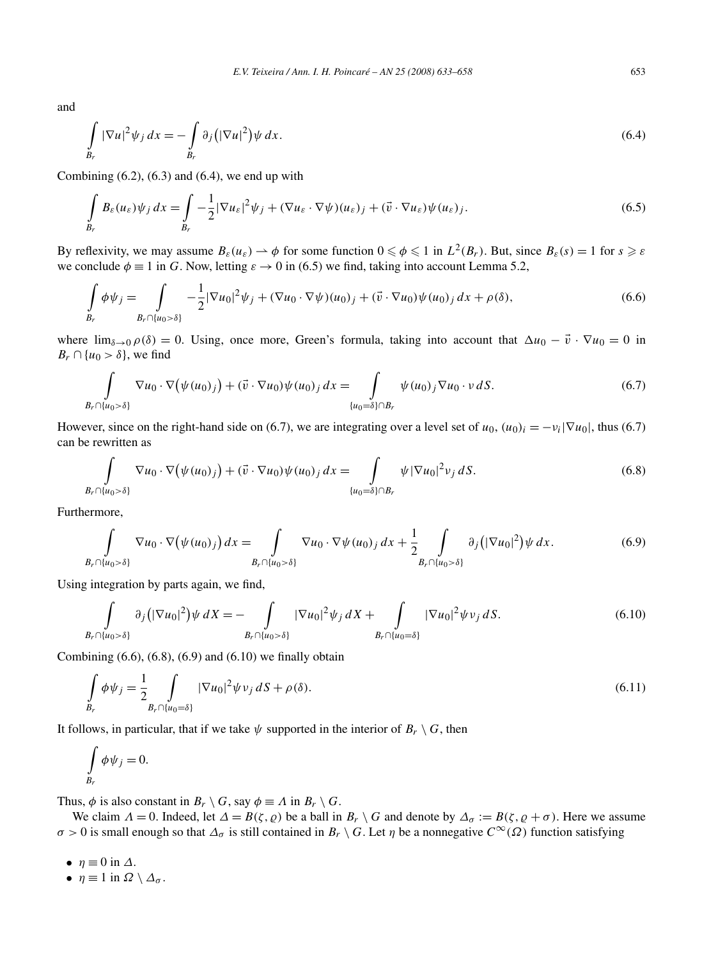and

$$
\int_{B_r} |\nabla u|^2 \psi_j dx = -\int_{B_r} \partial_j \left( |\nabla u|^2 \right) \psi dx.
$$
\n(6.4)

Combining  $(6.2)$ ,  $(6.3)$  and  $(6.4)$ , we end up with

$$
\int_{B_r} B_{\varepsilon}(u_{\varepsilon}) \psi_j \, dx = \int_{B_r} -\frac{1}{2} |\nabla u_{\varepsilon}|^2 \psi_j + (\nabla u_{\varepsilon} \cdot \nabla \psi)(u_{\varepsilon})_j + (\vec{v} \cdot \nabla u_{\varepsilon}) \psi(u_{\varepsilon})_j. \tag{6.5}
$$

By reflexivity, we may assume  $B_{\varepsilon}(u_{\varepsilon}) \to \phi$  for some function  $0 \le \phi \le 1$  in  $L^2(B_r)$ . But, since  $B_{\varepsilon}(s) = 1$  for  $s \ge \varepsilon$ we conclude  $\phi \equiv 1$  in *G*. Now, letting  $\varepsilon \to 0$  in (6.5) we find, taking into account Lemma 5.2,

$$
\int_{B_r} \phi \psi_j = \int_{B_r \cap \{u_0 > \delta\}} -\frac{1}{2} |\nabla u_0|^2 \psi_j + (\nabla u_0 \cdot \nabla \psi)(u_0)_j + (\vec{v} \cdot \nabla u_0) \psi(u_0)_j \, dx + \rho(\delta),
$$
\n(6.6)

where  $\lim_{\delta \to 0} \rho(\delta) = 0$ . Using, once more, Green's formula, taking into account that  $\Delta u_0 - \vec{v} \cdot \nabla u_0 = 0$  in  $B_r \cap \{u_0 > \delta\}$ , we find

$$
\int_{B_r \cap \{u_0 > \delta\}} \nabla u_0 \cdot \nabla \big(\psi(u_0)_j\big) + (\vec{v} \cdot \nabla u_0) \psi(u_0)_j \, dx = \int_{\{u_0 = \delta\} \cap B_r} \psi(u_0)_j \nabla u_0 \cdot \nu \, dS. \tag{6.7}
$$

However, since on the right-hand side on (6.7), we are integrating over a level set of  $u_0$ ,  $(u_0)_i = -v_i|\nabla u_0|$ , thus (6.7) can be rewritten as

$$
\int_{B_r \cap \{u_0 > \delta\}} \nabla u_0 \cdot \nabla \big(\psi(u_0)_j\big) + (\vec{v} \cdot \nabla u_0) \psi(u_0)_j \, dx = \int_{\{u_0 = \delta\} \cap B_r} \psi |\nabla u_0|^2 \nu_j \, dS. \tag{6.8}
$$

Furthermore,

$$
\int_{B_r \cap \{u_0 > \delta\}} \nabla u_0 \cdot \nabla \big(\psi(u_0)_j\big) dx = \int_{B_r \cap \{u_0 > \delta\}} \nabla u_0 \cdot \nabla \psi(u_0)_j dx + \frac{1}{2} \int_{B_r \cap \{u_0 > \delta\}} \partial_j \big(|\nabla u_0|^2\big) \psi dx.
$$
\n(6.9)

Using integration by parts again, we find,

$$
\int_{B_r \cap \{u_0 > \delta\}} \partial_j \left( |\nabla u_0|^2 \right) \psi \, dX = - \int_{B_r \cap \{u_0 > \delta\}} |\nabla u_0|^2 \psi_j \, dX + \int_{B_r \cap \{u_0 = \delta\}} |\nabla u_0|^2 \psi \, \nu_j \, dS. \tag{6.10}
$$

Combining  $(6.6)$ ,  $(6.8)$ ,  $(6.9)$  and  $(6.10)$  we finally obtain

$$
\int_{B_r} \phi \psi_j = \frac{1}{2} \int_{B_r \cap \{u_0 = \delta\}} |\nabla u_0|^2 \psi \nu_j \, dS + \rho(\delta). \tag{6.11}
$$

It follows, in particular, that if we take  $\psi$  supported in the interior of  $B_r \setminus G$ , then

$$
\int\limits_{B_r} \phi \psi_j = 0.
$$

Thus,  $\phi$  is also constant in  $B_r \setminus G$ , say  $\phi \equiv A$  in  $B_r \setminus G$ .

We claim  $\Lambda = 0$ . Indeed, let  $\Delta = B(\zeta, \varrho)$  be a ball in  $B_r \setminus G$  and denote by  $\Delta_{\sigma} := B(\zeta, \varrho + \sigma)$ . Here we assume *σ* > 0 is small enough so that  $Δ_σ$  is still contained in  $B_r \setminus G$ . Let *η* be a nonnegative  $C^{\infty}(\Omega)$  function satisfying

- $\eta \equiv 0$  in  $\Delta$ .
- $\eta \equiv 1$  in  $\Omega \setminus \Delta_{\sigma}$ .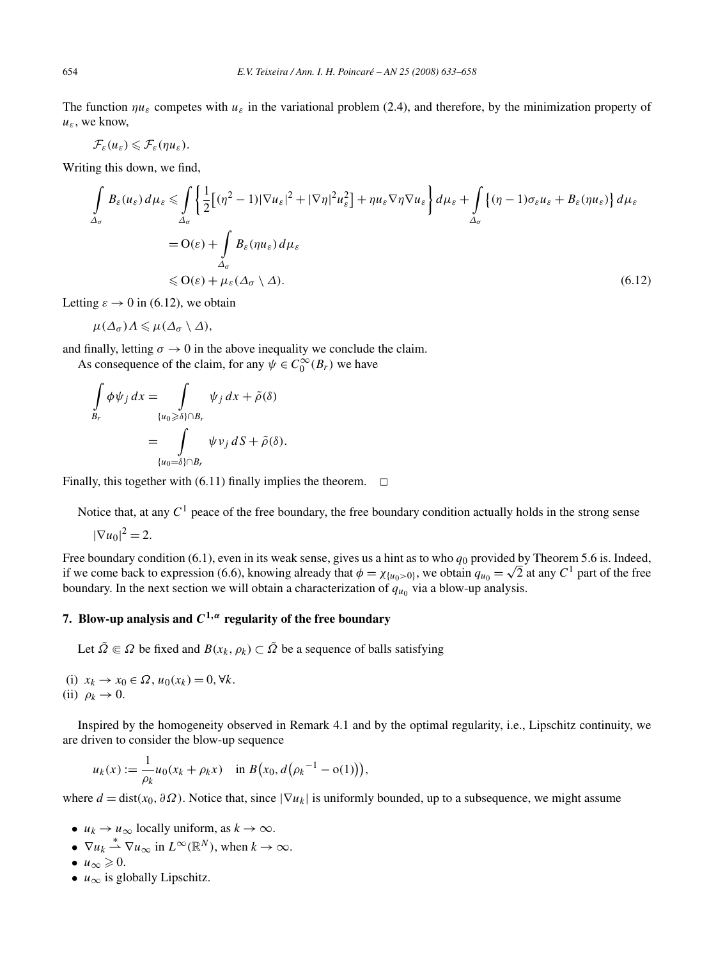The function  $\eta u_{\varepsilon}$  competes with  $u_{\varepsilon}$  in the variational problem (2.4), and therefore, by the minimization property of *uε*, we know,

$$
\mathcal{F}_{\varepsilon}(u_{\varepsilon})\leqslant \mathcal{F}_{\varepsilon}(\eta u_{\varepsilon}).
$$

Writing this down, we find,

$$
\int_{\Delta_{\sigma}} B_{\varepsilon}(u_{\varepsilon}) d\mu_{\varepsilon} \leq \int_{\Delta_{\sigma}} \left\{ \frac{1}{2} \left[ (\eta^2 - 1) |\nabla u_{\varepsilon}|^2 + |\nabla \eta|^2 u_{\varepsilon}^2 \right] + \eta u_{\varepsilon} \nabla \eta \nabla u_{\varepsilon} \right\} d\mu_{\varepsilon} + \int_{\Delta_{\sigma}} \left\{ (\eta - 1) \sigma_{\varepsilon} u_{\varepsilon} + B_{\varepsilon} (\eta u_{\varepsilon}) \right\} d\mu_{\varepsilon}
$$
\n
$$
= O(\varepsilon) + \int_{\Delta_{\sigma}} B_{\varepsilon} (\eta u_{\varepsilon}) d\mu_{\varepsilon}
$$
\n
$$
\leq O(\varepsilon) + \mu_{\varepsilon} (\Delta_{\sigma} \setminus \Delta). \tag{6.12}
$$

Letting  $\varepsilon \to 0$  in (6.12), we obtain

$$
\mu(\Delta_{\sigma})\Lambda \leq \mu(\Delta_{\sigma} \setminus \Delta),
$$

and finally, letting  $\sigma \to 0$  in the above inequality we conclude the claim.

As consequence of the claim, for any  $\psi \in C_0^{\infty}(B_r)$  we have

$$
\int_{B_r} \phi \psi_j dx = \int_{\{u_0 \ge \delta\} \cap B_r} \psi_j dx + \tilde{\rho}(\delta)
$$

$$
= \int_{\{u_0 = \delta\} \cap B_r} \psi v_j dS + \tilde{\rho}(\delta).
$$

Finally, this together with  $(6.11)$  finally implies the theorem.  $\Box$ 

Notice that, at any  $C<sup>1</sup>$  peace of the free boundary, the free boundary condition actually holds in the strong sense

$$
|\nabla u_0|^2 = 2.
$$

Free boundary condition (6.1), even in its weak sense, gives us a hint as to who  $q_0$  provided by Theorem 5.6 is. Indeed, if we come back to expression (6.6), knowing already that  $\phi = \chi_{\{u_0 > 0\}}$ , we obtain  $q_{u_0} = \sqrt{2}$  at any  $C^1$  part of the free boundary. In the next section we will obtain a characterization of  $q_{u_0}$  via a blow-up analysis.

# **7.** Blow-up analysis and  $C^{1,\alpha}$  regularity of the free boundary

Let  $\tilde{\Omega} \subseteq \Omega$  be fixed and  $B(x_k, \rho_k) \subset \tilde{\Omega}$  be a sequence of balls satisfying

(i) *xk* → *x*<sup>0</sup> ∈ *Ω*, *u*0*(xk)* = 0*,*∀*k*. (ii)  $\rho_k \rightarrow 0$ .

Inspired by the homogeneity observed in Remark 4.1 and by the optimal regularity, i.e., Lipschitz continuity, we are driven to consider the blow-up sequence

$$
u_k(x) := \frac{1}{\rho_k} u_0(x_k + \rho_k x) \quad \text{in } B(x_0, d(\rho_k^{-1} - o(1))),
$$

where  $d = \text{dist}(x_0, \partial \Omega)$ . Notice that, since  $|\nabla u_k|$  is uniformly bounded, up to a subsequence, we might assume

- $u_k \to u_\infty$  locally uniform, as  $k \to \infty$ .
- $\nabla u_k \stackrel{*}{\rightharpoonup} \nabla u_\infty$  in  $L^\infty(\mathbb{R}^N)$ , when  $k \to \infty$ .

• 
$$
u_{\infty} \geq 0
$$
.

•  $u_{\infty}$  is globally Lipschitz.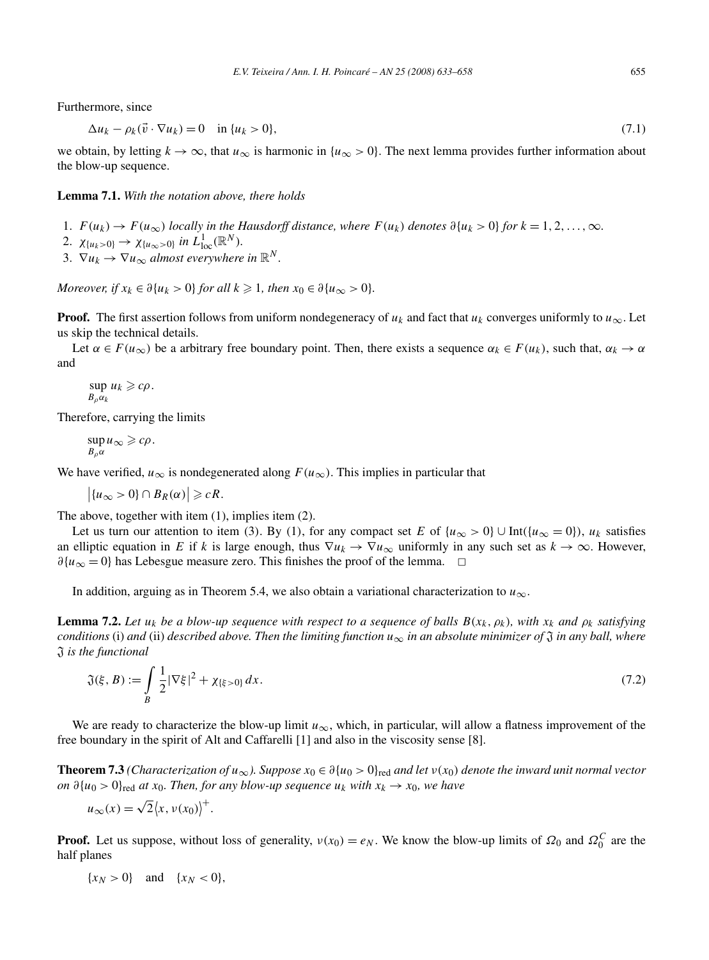Furthermore, since

$$
\Delta u_k - \rho_k(\vec{v} \cdot \nabla u_k) = 0 \quad \text{in } \{u_k > 0\},\tag{7.1}
$$

we obtain, by letting  $k \to \infty$ , that  $u_{\infty}$  is harmonic in  $\{u_{\infty} > 0\}$ . The next lemma provides further information about the blow-up sequence.

**Lemma 7.1.** *With the notation above, there holds*

- 1.  $F(u_k) \to F(u_\infty)$  *locally in the Hausdorff distance, where*  $F(u_k)$  *denotes*  $\partial\{u_k > 0\}$  *for*  $k = 1, 2, ..., \infty$ *.*
- 2.  $\chi_{\{u_k > 0\}} \to \chi_{\{u_\infty > 0\}}$  *in*  $L^1_{\text{loc}}(\mathbb{R}^N)$ *.*
- 3.  $\nabla u_k \to \nabla u_\infty$  *almost everywhere in*  $\mathbb{R}^N$ *.*

*Moreover, if*  $x_k \in \partial\{u_k > 0\}$  *for all*  $k \ge 1$ *, then*  $x_0 \in \partial\{u_{\infty} > 0\}$ *.* 

**Proof.** The first assertion follows from uniform nondegeneracy of  $u_k$  and fact that  $u_k$  converges uniformly to  $u_\infty$ . Let us skip the technical details.

Let  $\alpha \in F(u_\infty)$  be a arbitrary free boundary point. Then, there exists a sequence  $\alpha_k \in F(u_k)$ , such that,  $\alpha_k \to \alpha$ and

 $\sup u_k \geqslant c\rho$ . *Bραk*

Therefore, carrying the limits

 $\sup u_{\infty} \geqslant c\rho$ .  $B_0 \alpha$ 

We have verified,  $u_{\infty}$  is nondegenerated along  $F(u_{\infty})$ . This implies in particular that

 $\left|\{u_{\infty} > 0\} \cap B_R(\alpha)\right| \geqslant cR.$ 

The above, together with item (1), implies item (2).

Let us turn our attention to item (3). By (1), for any compact set *E* of  $\{u_{\infty} > 0\} \cup Int(\{u_{\infty} = 0\})$ ,  $u_k$  satisfies an elliptic equation in *E* if *k* is large enough, thus  $\nabla u_k \to \nabla u_\infty$  uniformly in any such set as  $k \to \infty$ . However,  $\partial$ {*u*<sub>∞</sub> = 0} has Lebesgue measure zero. This finishes the proof of the lemma.  $\Box$ 

In addition, arguing as in Theorem 5.4, we also obtain a variational characterization to  $u_{\infty}$ .

**Lemma 7.2.** Let  $u_k$  be a blow-up sequence with respect to a sequence of balls  $B(x_k, \rho_k)$ , with  $x_k$  and  $\rho_k$  satisfying *conditions* (i) *and* (ii) *described above. Then the limiting function*  $u_{\infty}$  *in an absolute minimizer of*  $\mathfrak{J}$  *in any ball, where* J *is the functional*

$$
\mathfrak{J}(\xi, B) := \int_{B} \frac{1}{2} |\nabla \xi|^{2} + \chi_{\{\xi > 0\}} dx.
$$
\n(7.2)

We are ready to characterize the blow-up limit  $u_{\infty}$ , which, in particular, will allow a flatness improvement of the free boundary in the spirit of Alt and Caffarelli [1] and also in the viscosity sense [8].

**Theorem 7.3** *(Characterization of*  $u_\infty$ *). Suppose*  $x_0 \in \partial \{u_0 > 0\}$ <sub>red</sub> and let  $v(x_0)$  denote the inward unit normal vector *on*  $\partial \{u_0 > 0\}$ <sub>red</sub> *at x*<sub>0</sub>*. Then, for any blow-up sequence*  $u_k$  *with*  $x_k \to x_0$ *, we have* 

$$
u_{\infty}(x) = \sqrt{2} \langle x, v(x_0) \rangle^{+}.
$$

**Proof.** Let us suppose, without loss of generality,  $v(x_0) = e_N$ . We know the blow-up limits of  $\Omega_0$  and  $\Omega_0^C$  are the half planes

$$
\{x_N>0\}\quad\text{and}\quad\{x_N<0\},
$$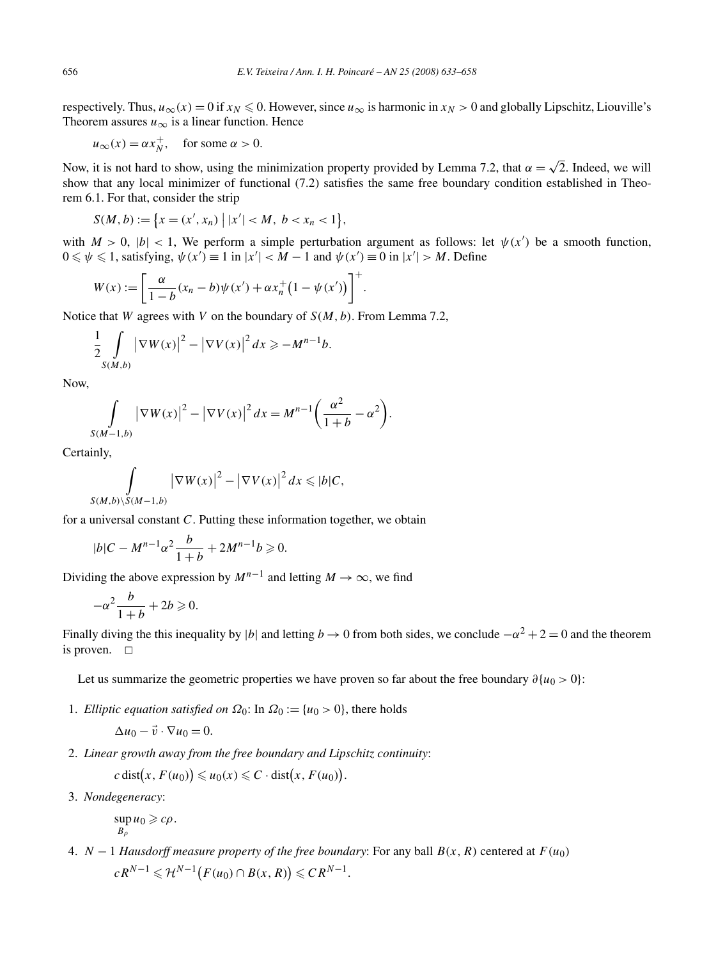respectively. Thus,  $u_{\infty}(x) = 0$  if  $x_N \le 0$ . However, since  $u_{\infty}$  is harmonic in  $x_N > 0$  and globally Lipschitz, Liouville's Theorem assures  $u_{\infty}$  is a linear function. Hence

$$
u_{\infty}(x) = \alpha x_N^+, \quad \text{ for some } \alpha > 0.
$$

Now, it is not hard to show, using the minimization property provided by Lemma 7.2, that  $\alpha = \sqrt{2}$ . Indeed, we will show that any local minimizer of functional (7.2) satisfies the same free boundary condition established in Theorem 6.1. For that, consider the strip

$$
S(M, b) := \{x = (x', x_n) \mid |x'| < M, \ b < x_n < 1\},\
$$

with  $M > 0$ ,  $|b| < 1$ , We perform a simple perturbation argument as follows: let  $\psi(x')$  be a smooth function,  $0 \le \psi \le 1$ , satisfying,  $\psi(x') \equiv 1$  in  $|x'| < M - 1$  and  $\psi(x') \equiv 0$  in  $|x'| > M$ . Define

$$
W(x) := \left[ \frac{\alpha}{1 - b} (x_n - b) \psi(x') + \alpha x_n^+ (1 - \psi(x')) \right]^+.
$$

Notice that *W* agrees with *V* on the boundary of *S(M,b)*. From Lemma 7.2,

$$
\frac{1}{2} \int\limits_{S(M,b)} \left|\nabla W(x)\right|^2 - \left|\nabla V(x)\right|^2 dx \geq -M^{n-1}b.
$$

Now,

$$
\int_{S(M-1,b)} \left|\nabla W(x)\right|^2 - \left|\nabla V(x)\right|^2 dx = M^{n-1} \left(\frac{\alpha^2}{1+b} - \alpha^2\right).
$$

Certainly,

$$
\int_{S(M,b)\setminus S(M-1,b)} \left|\nabla W(x)\right|^2 - \left|\nabla V(x)\right|^2 dx \leqslant |b|C,
$$

for a universal constant *C*. Putting these information together, we obtain

$$
|b|C - M^{n-1}\alpha^2 \frac{b}{1+b} + 2M^{n-1}b \ge 0.
$$

Dividing the above expression by  $M^{n-1}$  and letting  $M \to \infty$ , we find

$$
-\alpha^2 \frac{b}{1+b} + 2b \geqslant 0.
$$

Finally diving the this inequality by |*b*| and letting  $b \to 0$  from both sides, we conclude  $-\alpha^2 + 2 = 0$  and the theorem is proven.  $\square$ 

Let us summarize the geometric properties we have proven so far about the free boundary *∂*{*u*<sup>0</sup> *>* 0}:

1. *Elliptic equation satisfied on*  $\Omega_0$ : In  $\Omega_0 := \{u_0 > 0\}$ , there holds

$$
\Delta u_0 - \vec{v} \cdot \nabla u_0 = 0.
$$

2. *Linear growth away from the free boundary and Lipschitz continuity*:

 $c \text{ dist}(x, F(u_0)) \leq u_0(x) \leq C \cdot \text{dist}(x, F(u_0)).$ 

3. *Nondegeneracy*:

 $\sup u_0 \geqslant c\rho$ .  $B_0$ 

4. *N* − 1 *Hausdorff measure property of the free boundary*: For any ball *B(x,R)* centered at *F(u*0*)*  $cR^{N-1} \leq \mathcal{H}^{N-1}(F(u_0) \cap B(x,R)) \leq C R^{N-1}.$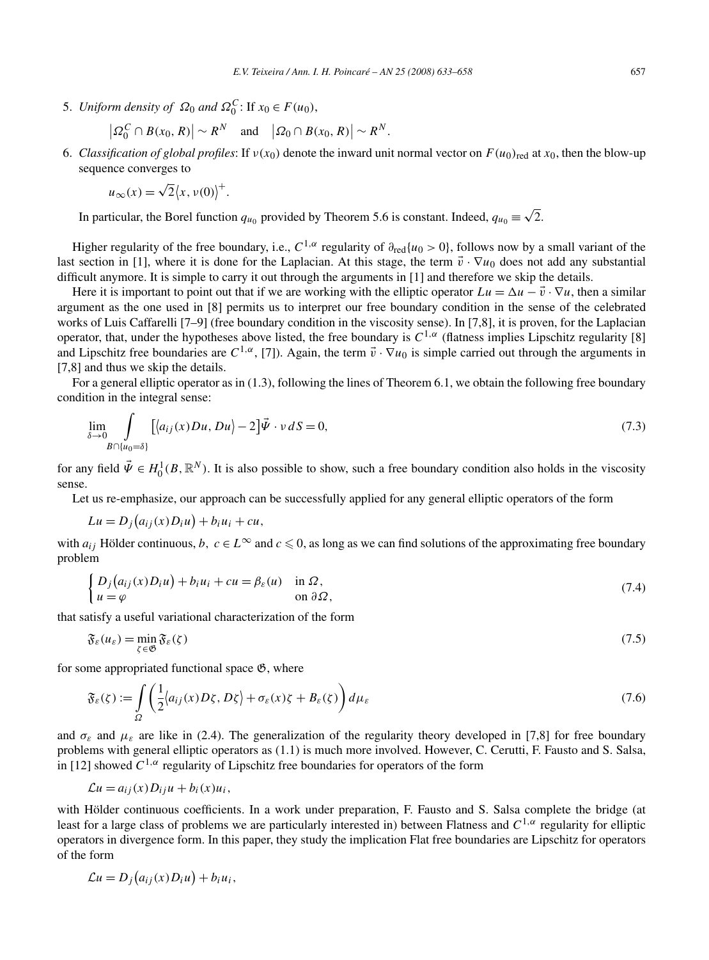5. *Uniform density of*  $\Omega_0$  *and*  $\Omega_0^C$ : If  $x_0 \in F(u_0)$ ,

$$
\left|\varOmega_0^C\cap B(x_0,R)\right|\sim R^N\quad\text{and}\quad\left|\varOmega_0\cap B(x_0,R)\right|\sim R^N.
$$

6. *Classification of global profiles*: If  $v(x_0)$  denote the inward unit normal vector on  $F(u_0)_{\text{red}}$  at  $x_0$ , then the blow-up sequence converges to

$$
u_{\infty}(x) = \sqrt{2} \langle x, v(0) \rangle^{+}.
$$

 $\overline{\phantom{a}}$ 

In particular, the Borel function  $q_{u_0}$  provided by Theorem 5.6 is constant. Indeed,  $q_{u_0} \equiv \sqrt{2}$ .

Higher regularity of the free boundary, i.e.,  $C^{1,\alpha}$  regularity of  $\partial_{\text{red}}\{u_0 > 0\}$ , follows now by a small variant of the last section in [1], where it is done for the Laplacian. At this stage, the term  $\vec{v} \cdot \nabla u_0$  does not add any substantial difficult anymore. It is simple to carry it out through the arguments in [1] and therefore we skip the details.

Here it is important to point out that if we are working with the elliptic operator  $Lu = \Delta u - \vec{v} \cdot \nabla u$ , then a similar argument as the one used in [8] permits us to interpret our free boundary condition in the sense of the celebrated works of Luis Caffarelli [7–9] (free boundary condition in the viscosity sense). In [7,8], it is proven, for the Laplacian operator, that, under the hypotheses above listed, the free boundary is  $C^{1,\alpha}$  (flatness implies Lipschitz regularity [8] and Lipschitz free boundaries are  $C^{1,\alpha}$ , [7]). Again, the term  $\vec{v} \cdot \nabla u_0$  is simple carried out through the arguments in [7,8] and thus we skip the details.

For a general elliptic operator as in (1.3), following the lines of Theorem 6.1, we obtain the following free boundary condition in the integral sense:

$$
\lim_{\delta \to 0} \int_{B \cap \{u_0 = \delta\}} \left[ \langle a_{ij}(x) Du, Du \rangle - 2 \right] \vec{\Psi} \cdot v \, dS = 0, \tag{7.3}
$$

for any field  $\vec{\Psi} \in H_0^1(B, \mathbb{R}^N)$ . It is also possible to show, such a free boundary condition also holds in the viscosity sense.

Let us re-emphasize, our approach can be successfully applied for any general elliptic operators of the form

$$
Lu = D_j(a_{ij}(x)D_iu) + b_iu_i + cu,
$$

with  $a_{ij}$  Hölder continuous,  $b, c \in L^{\infty}$  and  $c \le 0$ , as long as we can find solutions of the approximating free boundary problem

$$
\begin{cases} D_j(a_{ij}(x)D_i u) + b_i u_i + cu = \beta_{\varepsilon}(u) & \text{in } \Omega, \\ u = \varphi & \text{on } \partial \Omega, \end{cases}
$$
\n(7.4)

that satisfy a useful variational characterization of the form

$$
\mathfrak{F}_{\varepsilon}(u_{\varepsilon}) = \min_{\zeta \in \mathfrak{G}} \mathfrak{F}_{\varepsilon}(\zeta) \tag{7.5}
$$

for some appropriated functional space  $\mathfrak{G}$ , where

$$
\mathfrak{F}_{\varepsilon}(\zeta) := \int_{\Omega} \left( \frac{1}{2} \langle a_{ij}(x) D\zeta, D\zeta \rangle + \sigma_{\varepsilon}(x) \zeta + B_{\varepsilon}(\zeta) \right) d\mu_{\varepsilon} \tag{7.6}
$$

and  $\sigma_{\varepsilon}$  and  $\mu_{\varepsilon}$  are like in (2.4). The generalization of the regularity theory developed in [7,8] for free boundary problems with general elliptic operators as (1.1) is much more involved. However, C. Cerutti, F. Fausto and S. Salsa, in [12] showed  $C^{1,\alpha}$  regularity of Lipschitz free boundaries for operators of the form

$$
\mathcal{L}u = a_{ij}(x)D_{ij}u + b_i(x)u_i,
$$

with Hölder continuous coefficients. In a work under preparation, F. Fausto and S. Salsa complete the bridge (at least for a large class of problems we are particularly interested in) between Flatness and *C*1*,α* regularity for elliptic operators in divergence form. In this paper, they study the implication Flat free boundaries are Lipschitz for operators of the form

$$
\mathcal{L}u=D_j(a_{ij}(x)D_iu)+b_iu_i,
$$